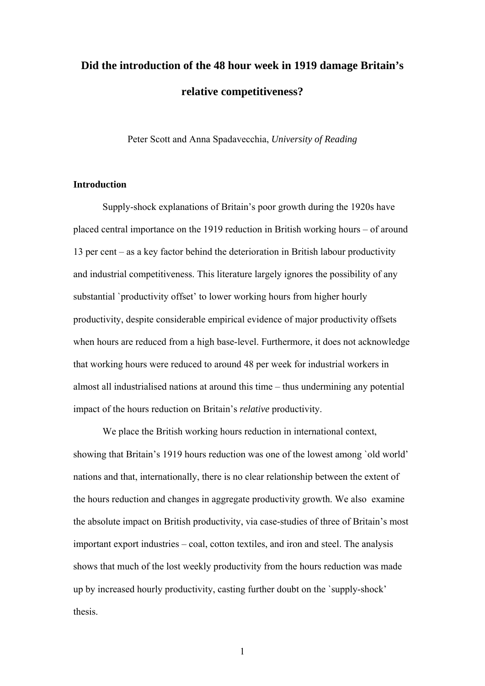# **Did the introduction of the 48 hour week in 1919 damage Britain's relative competitiveness?**

Peter Scott and Anna Spadavecchia, *University of Reading*

# **Introduction**

 Supply-shock explanations of Britain's poor growth during the 1920s have placed central importance on the 1919 reduction in British working hours – of around 13 per cent – as a key factor behind the deterioration in British labour productivity and industrial competitiveness. This literature largely ignores the possibility of any substantial `productivity offset' to lower working hours from higher hourly productivity, despite considerable empirical evidence of major productivity offsets when hours are reduced from a high base-level. Furthermore, it does not acknowledge that working hours were reduced to around 48 per week for industrial workers in almost all industrialised nations at around this time – thus undermining any potential impact of the hours reduction on Britain's *relative* productivity.

 We place the British working hours reduction in international context, showing that Britain's 1919 hours reduction was one of the lowest among `old world' nations and that, internationally, there is no clear relationship between the extent of the hours reduction and changes in aggregate productivity growth. We also examine the absolute impact on British productivity, via case-studies of three of Britain's most important export industries – coal, cotton textiles, and iron and steel. The analysis shows that much of the lost weekly productivity from the hours reduction was made up by increased hourly productivity, casting further doubt on the `supply-shock' thesis.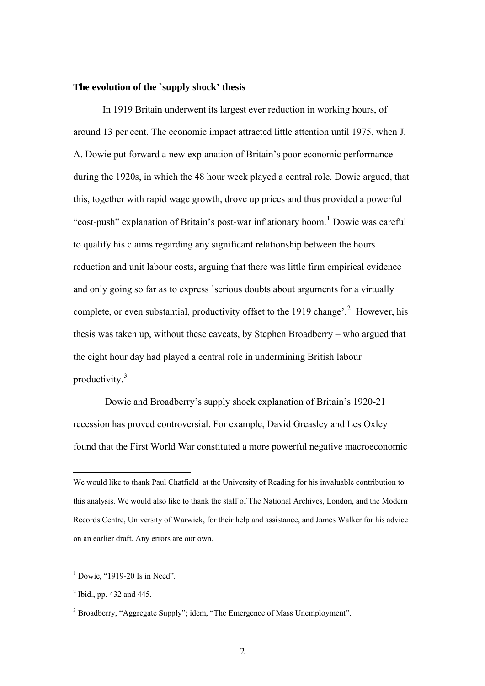# **The evolution of the `supply shock' thesis**

 In 1919 Britain underwent its largest ever reduction in working hours, of around 13 per cent. The economic impact attracted little attention until 1975, when J. A. Dowie put forward a new explanation of Britain's poor economic performance during the 1920s, in which the 48 hour week played a central role. Dowie argued, that this, together with rapid wage growth, drove up prices and thus provided a powerful "cost-push" explanation of Britain's post-war inflationary boom.<sup>[1](#page-1-0)</sup> Dowie was careful to qualify his claims regarding any significant relationship between the hours reduction and unit labour costs, arguing that there was little firm empirical evidence and only going so far as to express `serious doubts about arguments for a virtually complete, or even substantial, productivity offset to the 1919 change'.<sup>[2](#page-1-1)</sup> However, his thesis was taken up, without these caveats, by Stephen Broadberry – who argued that the eight hour day had played a central role in undermining British labour productivity.<sup>[3](#page-1-2)</sup>

 Dowie and Broadberry's supply shock explanation of Britain's 1920-21 recession has proved controversial. For example, David Greasley and Les Oxley found that the First World War constituted a more powerful negative macroeconomic

We would like to thank Paul Chatfield at the University of Reading for his invaluable contribution to this analysis. We would also like to thank the staff of The National Archives, London, and the Modern Records Centre, University of Warwick, for their help and assistance, and James Walker for his advice on an earlier draft. Any errors are our own.

 $<sup>1</sup>$  Dowie, "1919-20 Is in Need".</sup>

 $^{2}$  Ibid., pp. 432 and 445.

<span id="page-1-2"></span><span id="page-1-1"></span><span id="page-1-0"></span><sup>&</sup>lt;sup>3</sup> Broadberry, "Aggregate Supply"; idem, "The Emergence of Mass Unemployment".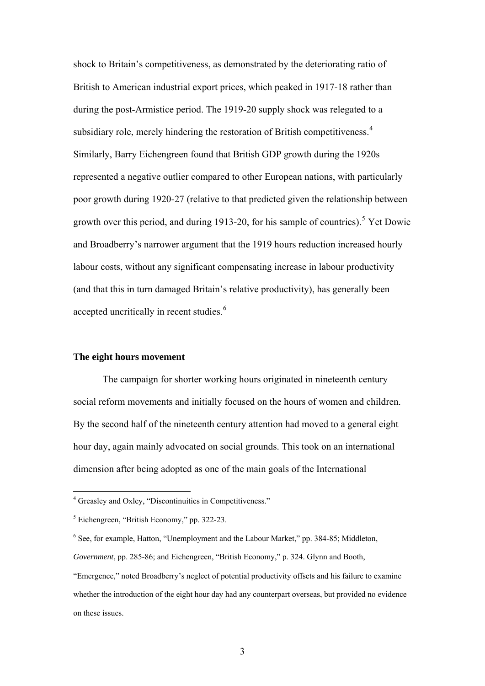shock to Britain's competitiveness, as demonstrated by the deteriorating ratio of British to American industrial export prices, which peaked in 1917-18 rather than during the post-Armistice period. The 1919-20 supply shock was relegated to a subsidiary role, merely hindering the restoration of British competitiveness.<sup>[4](#page-2-0)</sup> Similarly, Barry Eichengreen found that British GDP growth during the 1920s represented a negative outlier compared to other European nations, with particularly poor growth during 1920-27 (relative to that predicted given the relationship between growth over this period, and during 1913-20, for his sample of countries).<sup>[5](#page-2-1)</sup> Yet Dowie and Broadberry's narrower argument that the 1919 hours reduction increased hourly labour costs, without any significant compensating increase in labour productivity (and that this in turn damaged Britain's relative productivity), has generally been accepted uncritically in recent studies.<sup>[6](#page-2-2)</sup>

# **The eight hours movement**

The campaign for shorter working hours originated in nineteenth century social reform movements and initially focused on the hours of women and children. By the second half of the nineteenth century attention had moved to a general eight hour day, again mainly advocated on social grounds. This took on an international dimension after being adopted as one of the main goals of the International

 4 Greasley and Oxley, "Discontinuities in Competitiveness."

<sup>5</sup> Eichengreen, "British Economy," pp. 322-23.

<sup>&</sup>lt;sup>6</sup> See, for example, Hatton, "Unemployment and the Labour Market," pp. 384-85; Middleton,

*Government*, pp. 285-86; and Eichengreen, "British Economy," p. 324. Glynn and Booth,

<span id="page-2-2"></span><span id="page-2-1"></span><span id="page-2-0"></span><sup>&</sup>quot;Emergence," noted Broadberry's neglect of potential productivity offsets and his failure to examine whether the introduction of the eight hour day had any counterpart overseas, but provided no evidence on these issues.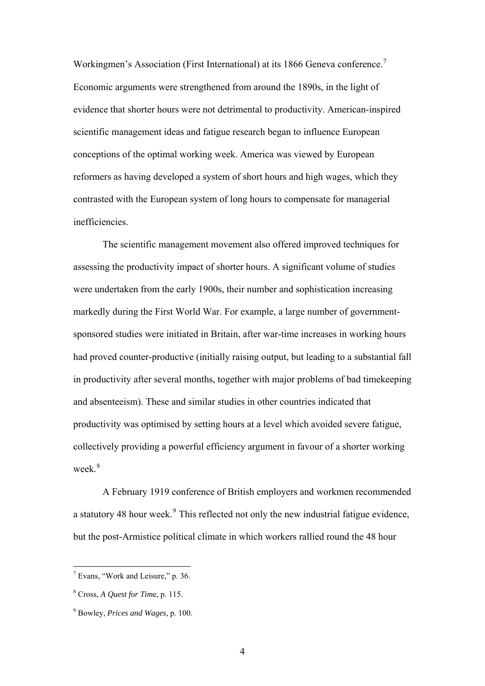<span id="page-3-0"></span>Workingmen's Association (First International) at its 1866 Geneva conference.<sup>[7](#page-3-0)</sup> Economic arguments were strengthened from around the 1890s, in the light of evidence that shorter hours were not detrimental to productivity. American-inspired scientific management ideas and fatigue research began to influence European conceptions of the optimal working week. America was viewed by European reformers as having developed a system of short hours and high wages, which they contrasted with the European system of long hours to compensate for managerial inefficiencies.

The scientific management movement also offered improved techniques for assessing the productivity impact of shorter hours. A significant volume of studies were undertaken from the early 1900s, their number and sophistication increasing markedly during the First World War. For example, a large number of governmentsponsored studies were initiated in Britain, after war-time increases in working hours had proved counter-productive (initially raising output, but leading to a substantial fall in productivity after several months, together with major problems of bad timekeeping and absenteeism). These and similar studies in other countries indicated that productivity was optimised by setting hours at a level which avoided severe fatigue, collectively providing a powerful efficiency argument in favour of a shorter working week<sup>[8](#page-3-0)</sup>

A February 1919 conference of British employers and workmen recommended a statutory 48 hour week. $9$  This reflected not only the new industrial fatigue evidence, but the post-Armistice political climate in which workers rallied round the 48 hour

 $<sup>7</sup>$  Evans, "Work and Leisure," p. 36.</sup>

<sup>8</sup> Cross, *A Quest for Tim*e, p. 115.

<sup>9</sup> Bowley, *Prices and Wages*, p. 100.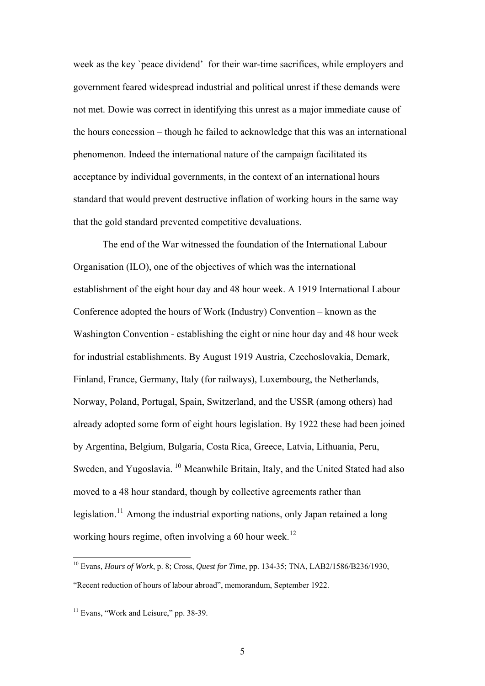<span id="page-4-0"></span>week as the key `peace dividend' for their war-time sacrifices, while employers and government feared widespread industrial and political unrest if these demands were not met. Dowie was correct in identifying this unrest as a major immediate cause of the hours concession – though he failed to acknowledge that this was an international phenomenon. Indeed the international nature of the campaign facilitated its acceptance by individual governments, in the context of an international hours standard that would prevent destructive inflation of working hours in the same way that the gold standard prevented competitive devaluations.

The end of the War witnessed the foundation of the International Labour Organisation (ILO), one of the objectives of which was the international establishment of the eight hour day and 48 hour week. A 1919 International Labour Conference adopted the hours of Work (Industry) Convention – known as the Washington Convention - establishing the eight or nine hour day and 48 hour week for industrial establishments. By August 1919 Austria, Czechoslovakia, Demark, Finland, France, Germany, Italy (for railways), Luxembourg, the Netherlands, Norway, Poland, Portugal, Spain, Switzerland, and the USSR (among others) had already adopted some form of eight hours legislation. By 1922 these had been joined by Argentina, Belgium, Bulgaria, Costa Rica, Greece, Latvia, Lithuania, Peru, Sweden, and Yugoslavia.<sup>[10](#page-4-0)</sup> Meanwhile Britain, Italy, and the United Stated had also moved to a 48 hour standard, though by collective agreements rather than legislation.<sup>[11](#page-4-0)</sup> Among the industrial exporting nations, only Japan retained a long working hours regime, often involving a 60 hour week.<sup>[12](#page-4-0)</sup>

<sup>10</sup> Evans, *Hours of Work*, p. 8; Cross, *Quest for Time*, pp. 134-35; TNA, LAB2/1586/B236/1930, "Recent reduction of hours of labour abroad", memorandum, September 1922.

 $11$  Evans, "Work and Leisure," pp. 38-39.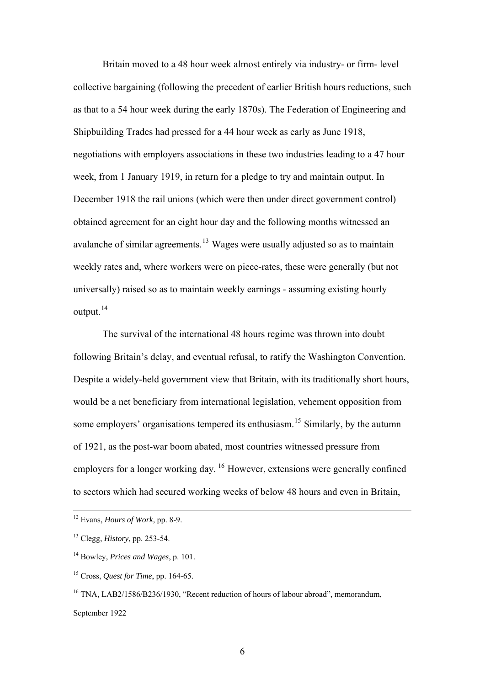<span id="page-5-0"></span>Britain moved to a 48 hour week almost entirely via industry- or firm- level collective bargaining (following the precedent of earlier British hours reductions, such as that to a 54 hour week during the early 1870s). The Federation of Engineering and Shipbuilding Trades had pressed for a 44 hour week as early as June 1918, negotiations with employers associations in these two industries leading to a 47 hour week, from 1 January 1919, in return for a pledge to try and maintain output. In December 1918 the rail unions (which were then under direct government control) obtained agreement for an eight hour day and the following months witnessed an avalanche of similar agreements.<sup>[13](#page-5-0)</sup> Wages were usually adjusted so as to maintain weekly rates and, where workers were on piece-rates, these were generally (but not universally) raised so as to maintain weekly earnings - assuming existing hourly output.<sup>[14](#page-5-0)</sup>

The survival of the international 48 hours regime was thrown into doubt following Britain's delay, and eventual refusal, to ratify the Washington Convention. Despite a widely-held government view that Britain, with its traditionally short hours, would be a net beneficiary from international legislation, vehement opposition from some employers' organisations tempered its enthusiasm.<sup>[15](#page-5-0)</sup> Similarly, by the autumn of 1921, as the post-war boom abated, most countries witnessed pressure from employers for a longer working day. <sup>[16](#page-5-0)</sup> However, extensions were generally confined to sectors which had secured working weeks of below 48 hours and even in Britain,

1

<sup>16</sup> TNA, LAB2/1586/B236/1930, "Recent reduction of hours of labour abroad", memorandum, September 1922

<sup>12</sup> Evans, *Hours of Work*, pp. 8-9.

<sup>13</sup> Clegg, *History*, pp. 253-54.

<sup>14</sup> Bowley, *Prices and Wages*, p. 101.

<sup>15</sup> Cross, *Quest for Time*, pp. 164-65.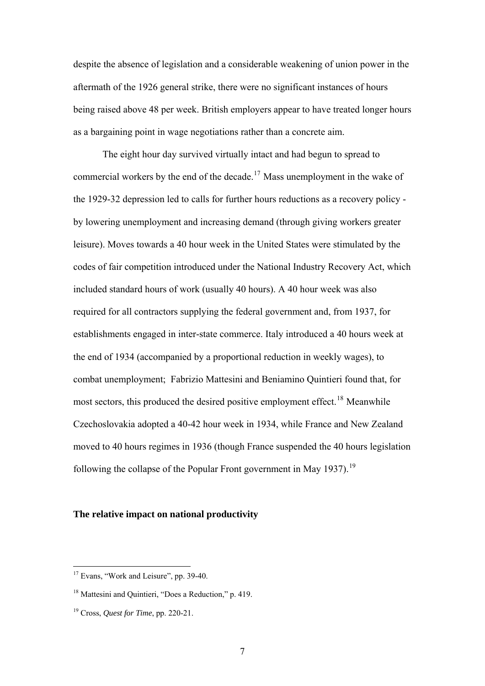<span id="page-6-0"></span>despite the absence of legislation and a considerable weakening of union power in the aftermath of the 1926 general strike, there were no significant instances of hours being raised above 48 per week. British employers appear to have treated longer hours as a bargaining point in wage negotiations rather than a concrete aim.

The eight hour day survived virtually intact and had begun to spread to commercial workers by the end of the decade.[17](#page-6-0) Mass unemployment in the wake of the 1929-32 depression led to calls for further hours reductions as a recovery policy by lowering unemployment and increasing demand (through giving workers greater leisure). Moves towards a 40 hour week in the United States were stimulated by the codes of fair competition introduced under the National Industry Recovery Act, which included standard hours of work (usually 40 hours). A 40 hour week was also required for all contractors supplying the federal government and, from 1937, for establishments engaged in inter-state commerce. Italy introduced a 40 hours week at the end of 1934 (accompanied by a proportional reduction in weekly wages), to combat unemployment; Fabrizio Mattesini and Beniamino Quintieri found that, for most sectors, this produced the desired positive employment effect.<sup>[18](#page-6-0)</sup> Meanwhile Czechoslovakia adopted a 40-42 hour week in 1934, while France and New Zealand moved to 40 hours regimes in 1936 (though France suspended the 40 hours legislation following the collapse of the Popular Front government in May [19](#page-6-0)37).<sup>19</sup>

# **The relative impact on national productivity**

<sup>&</sup>lt;sup>17</sup> Evans, "Work and Leisure", pp. 39-40.

<sup>18</sup> Mattesini and Quintieri, "Does a Reduction," p. 419.

<sup>19</sup> Cross, *Quest for Time*, pp. 220-21.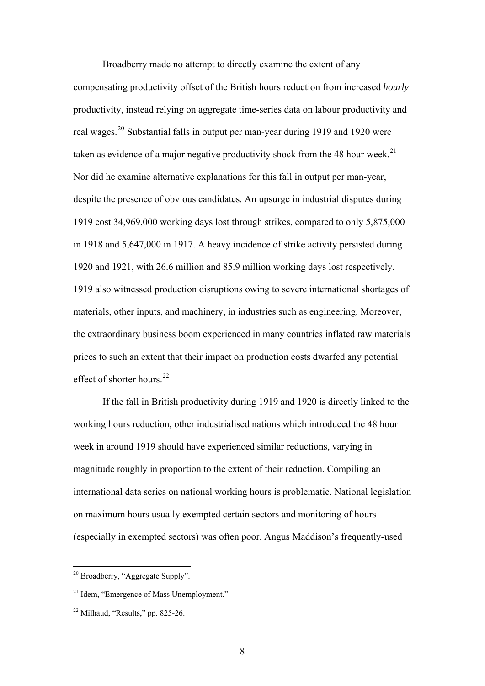<span id="page-7-0"></span>Broadberry made no attempt to directly examine the extent of any compensating productivity offset of the British hours reduction from increased *hourly* productivity, instead relying on aggregate time-series data on labour productivity and real wages.[20](#page-7-0) Substantial falls in output per man-year during 1919 and 1920 were taken as evidence of a major negative productivity shock from the 48 hour week.<sup>[21](#page-7-0)</sup> Nor did he examine alternative explanations for this fall in output per man-year, despite the presence of obvious candidates. An upsurge in industrial disputes during 1919 cost 34,969,000 working days lost through strikes, compared to only 5,875,000 in 1918 and 5,647,000 in 1917. A heavy incidence of strike activity persisted during 1920 and 1921, with 26.6 million and 85.9 million working days lost respectively. 1919 also witnessed production disruptions owing to severe international shortages of materials, other inputs, and machinery, in industries such as engineering. Moreover, the extraordinary business boom experienced in many countries inflated raw materials prices to such an extent that their impact on production costs dwarfed any potential effect of shorter hours. $^{22}$  $^{22}$  $^{22}$ 

If the fall in British productivity during 1919 and 1920 is directly linked to the working hours reduction, other industrialised nations which introduced the 48 hour week in around 1919 should have experienced similar reductions, varying in magnitude roughly in proportion to the extent of their reduction. Compiling an international data series on national working hours is problematic. National legislation on maximum hours usually exempted certain sectors and monitoring of hours (especially in exempted sectors) was often poor. Angus Maddison's frequently-used

<sup>&</sup>lt;sup>20</sup> Broadberry, "Aggregate Supply".

<sup>&</sup>lt;sup>21</sup> Idem, "Emergence of Mass Unemployment."

 $22$  Milhaud, "Results," pp. 825-26.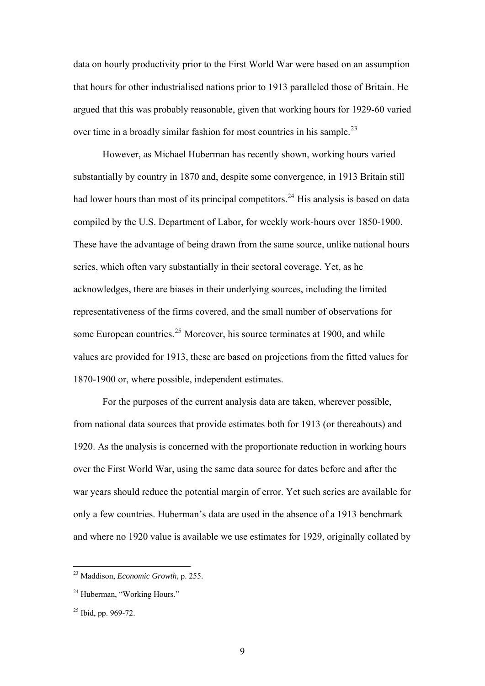<span id="page-8-0"></span>data on hourly productivity prior to the First World War were based on an assumption that hours for other industrialised nations prior to 1913 paralleled those of Britain. He argued that this was probably reasonable, given that working hours for 1929-60 varied over time in a broadly similar fashion for most countries in his sample.<sup>[23](#page-8-0)</sup>

However, as Michael Huberman has recently shown, working hours varied substantially by country in 1870 and, despite some convergence, in 1913 Britain still had lower hours than most of its principal competitors.<sup>[24](#page-8-0)</sup> His analysis is based on data compiled by the U.S. Department of Labor, for weekly work-hours over 1850-1900. These have the advantage of being drawn from the same source, unlike national hours series, which often vary substantially in their sectoral coverage. Yet, as he acknowledges, there are biases in their underlying sources, including the limited representativeness of the firms covered, and the small number of observations for some European countries.<sup>[25](#page-8-0)</sup> Moreover, his source terminates at 1900, and while values are provided for 1913, these are based on projections from the fitted values for 1870-1900 or, where possible, independent estimates.

For the purposes of the current analysis data are taken, wherever possible, from national data sources that provide estimates both for 1913 (or thereabouts) and 1920. As the analysis is concerned with the proportionate reduction in working hours over the First World War, using the same data source for dates before and after the war years should reduce the potential margin of error. Yet such series are available for only a few countries. Huberman's data are used in the absence of a 1913 benchmark and where no 1920 value is available we use estimates for 1929, originally collated by

<sup>23</sup> Maddison, *Economic Growth*, p. 255.

<sup>&</sup>lt;sup>24</sup> Huberman, "Working Hours."

<sup>&</sup>lt;sup>25</sup> Ibid. pp. 969-72.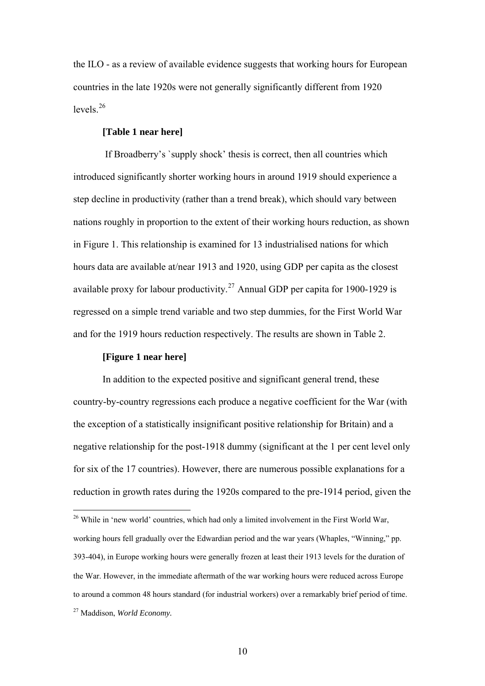<span id="page-9-0"></span>the ILO - as a review of available evidence suggests that working hours for European countries in the late 1920s were not generally significantly different from 1920 levels $26$ 

# **[Table 1 near here]**

 If Broadberry's `supply shock' thesis is correct, then all countries which introduced significantly shorter working hours in around 1919 should experience a step decline in productivity (rather than a trend break), which should vary between nations roughly in proportion to the extent of their working hours reduction, as shown in Figure 1. This relationship is examined for 13 industrialised nations for which hours data are available at/near 1913 and 1920, using GDP per capita as the closest available proxy for labour productivity.<sup>[27](#page-9-0)</sup> Annual GDP per capita for 1900-1929 is regressed on a simple trend variable and two step dummies, for the First World War and for the 1919 hours reduction respectively. The results are shown in Table 2.

# **[Figure 1 near here]**

1

In addition to the expected positive and significant general trend, these country-by-country regressions each produce a negative coefficient for the War (with the exception of a statistically insignificant positive relationship for Britain) and a negative relationship for the post-1918 dummy (significant at the 1 per cent level only for six of the 17 countries). However, there are numerous possible explanations for a reduction in growth rates during the 1920s compared to the pre-1914 period, given the

<sup>&</sup>lt;sup>26</sup> While in 'new world' countries, which had only a limited involvement in the First World War, working hours fell gradually over the Edwardian period and the war years (Whaples, "Winning," pp. 393-404), in Europe working hours were generally frozen at least their 1913 levels for the duration of the War. However, in the immediate aftermath of the war working hours were reduced across Europe to around a common 48 hours standard (for industrial workers) over a remarkably brief period of time. 27 Maddison, *World Economy.*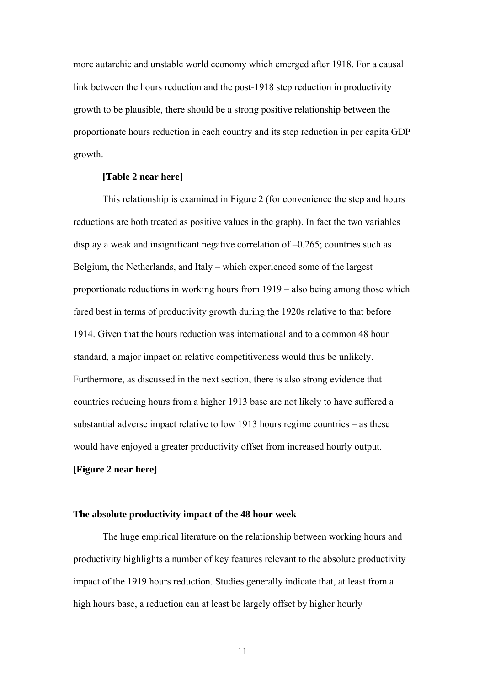more autarchic and unstable world economy which emerged after 1918. For a causal link between the hours reduction and the post-1918 step reduction in productivity growth to be plausible, there should be a strong positive relationship between the proportionate hours reduction in each country and its step reduction in per capita GDP growth.

# **[Table 2 near here]**

This relationship is examined in Figure 2 (for convenience the step and hours reductions are both treated as positive values in the graph). In fact the two variables display a weak and insignificant negative correlation of –0.265; countries such as Belgium, the Netherlands, and Italy – which experienced some of the largest proportionate reductions in working hours from 1919 – also being among those which fared best in terms of productivity growth during the 1920s relative to that before 1914. Given that the hours reduction was international and to a common 48 hour standard, a major impact on relative competitiveness would thus be unlikely. Furthermore, as discussed in the next section, there is also strong evidence that countries reducing hours from a higher 1913 base are not likely to have suffered a substantial adverse impact relative to low 1913 hours regime countries – as these would have enjoyed a greater productivity offset from increased hourly output.

# **[Figure 2 near here]**

#### **The absolute productivity impact of the 48 hour week**

 The huge empirical literature on the relationship between working hours and productivity highlights a number of key features relevant to the absolute productivity impact of the 1919 hours reduction. Studies generally indicate that, at least from a high hours base, a reduction can at least be largely offset by higher hourly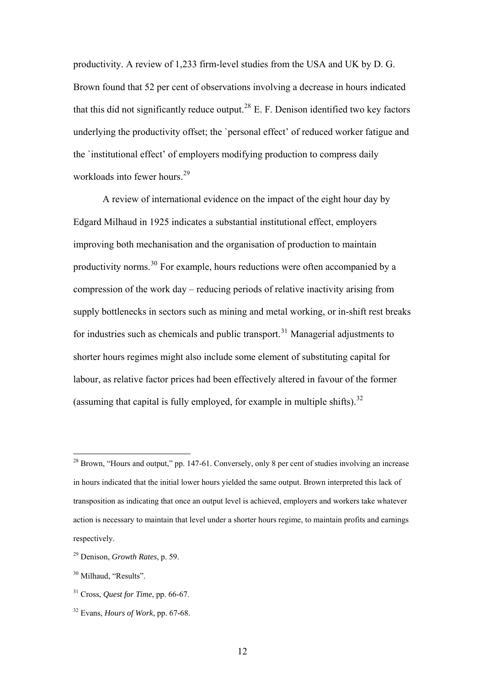<span id="page-11-0"></span>productivity. A review of 1,233 firm-level studies from the USA and UK by D. G. Brown found that 52 per cent of observations involving a decrease in hours indicated that this did not significantly reduce output.<sup>[28](#page-11-0)</sup> E. F. Denison identified two key factors underlying the productivity offset; the `personal effect' of reduced worker fatigue and the `institutional effect' of employers modifying production to compress daily workloads into fewer hours.<sup>[29](#page-11-0)</sup>

 A review of international evidence on the impact of the eight hour day by Edgard Milhaud in 1925 indicates a substantial institutional effect, employers improving both mechanisation and the organisation of production to maintain productivity norms.[30](#page-11-0) For example, hours reductions were often accompanied by a compression of the work day – reducing periods of relative inactivity arising from supply bottlenecks in sectors such as mining and metal working, or in-shift rest breaks for industries such as chemicals and public transport.<sup>[31](#page-11-0)</sup> Managerial adjustments to shorter hours regimes might also include some element of substituting capital for labour, as relative factor prices had been effectively altered in favour of the former (assuming that capital is fully employed, for example in multiple shifts).  $32$ 

<sup>&</sup>lt;sup>28</sup> Brown, "Hours and output," pp. 147-61. Conversely, only 8 per cent of studies involving an increase in hours indicated that the initial lower hours yielded the same output. Brown interpreted this lack of transposition as indicating that once an output level is achieved, employers and workers take whatever action is necessary to maintain that level under a shorter hours regime, to maintain profits and earnings respectively.

<sup>29</sup> Denison, *Growth Rates*, p. 59.

<sup>&</sup>lt;sup>30</sup> Milhaud, "Results".

<sup>31</sup> Cross, *Quest for Time*, pp. 66-67.

<sup>32</sup> Evans, *Hours of Work*, pp. 67-68.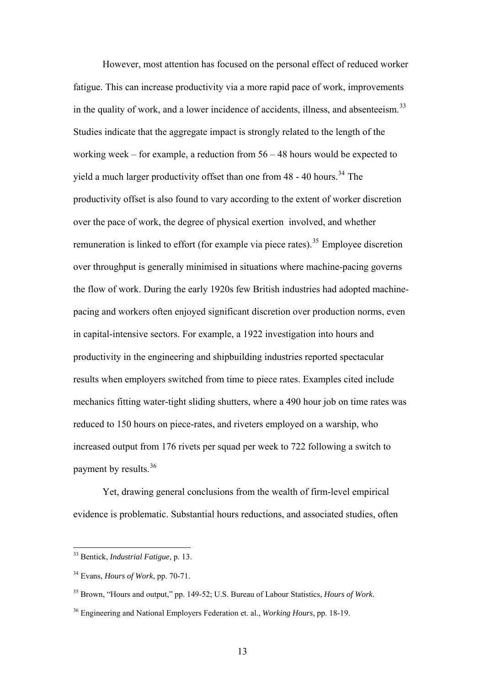<span id="page-12-0"></span>However, most attention has focused on the personal effect of reduced worker fatigue. This can increase productivity via a more rapid pace of work, improvements in the quality of work, and a lower incidence of accidents, illness, and absenteeism. $33$ Studies indicate that the aggregate impact is strongly related to the length of the working week – for example, a reduction from 56 – 48 hours would be expected to yield a much larger productivity offset than one from  $48 - 40$  hours.<sup>[34](#page-12-0)</sup> The productivity offset is also found to vary according to the extent of worker discretion over the pace of work, the degree of physical exertion involved, and whether remuneration is linked to effort (for example via piece rates).<sup>[35](#page-12-0)</sup> Employee discretion over throughput is generally minimised in situations where machine-pacing governs the flow of work. During the early 1920s few British industries had adopted machinepacing and workers often enjoyed significant discretion over production norms, even in capital-intensive sectors. For example, a 1922 investigation into hours and productivity in the engineering and shipbuilding industries reported spectacular results when employers switched from time to piece rates. Examples cited include mechanics fitting water-tight sliding shutters, where a 490 hour job on time rates was reduced to 150 hours on piece-rates, and riveters employed on a warship, who increased output from 176 rivets per squad per week to 722 following a switch to payment by results.<sup>[36](#page-12-0)</sup>

Yet, drawing general conclusions from the wealth of firm-level empirical evidence is problematic. Substantial hours reductions, and associated studies, often

<u>.</u>

<sup>33</sup> Bentick, *Industrial Fatigue*, p. 13.

<sup>34</sup> Evans, *Hours of Work*, pp. 70-71.

<sup>35</sup> Brown, "Hours and output," pp. 149-52; U.S. Bureau of Labour Statistics, *Hours of Work*.

<sup>36</sup> Engineering and National Employers Federation et. al., *Working Hours*, pp. 18-19.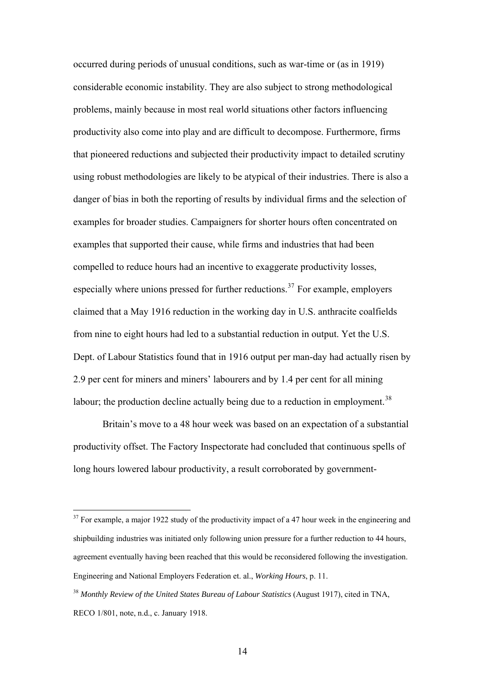<span id="page-13-0"></span>occurred during periods of unusual conditions, such as war-time or (as in 1919) considerable economic instability. They are also subject to strong methodological problems, mainly because in most real world situations other factors influencing productivity also come into play and are difficult to decompose. Furthermore, firms that pioneered reductions and subjected their productivity impact to detailed scrutiny using robust methodologies are likely to be atypical of their industries. There is also a danger of bias in both the reporting of results by individual firms and the selection of examples for broader studies. Campaigners for shorter hours often concentrated on examples that supported their cause, while firms and industries that had been compelled to reduce hours had an incentive to exaggerate productivity losses, especially where unions pressed for further reductions.<sup>[37](#page-13-0)</sup> For example, employers claimed that a May 1916 reduction in the working day in U.S. anthracite coalfields from nine to eight hours had led to a substantial reduction in output. Yet the U.S. Dept. of Labour Statistics found that in 1916 output per man-day had actually risen by 2.9 per cent for miners and miners' labourers and by 1.4 per cent for all mining labour; the production decline actually being due to a reduction in employment.<sup>[38](#page-13-0)</sup>

Britain's move to a 48 hour week was based on an expectation of a substantial productivity offset. The Factory Inspectorate had concluded that continuous spells of long hours lowered labour productivity, a result corroborated by government-

 $37$  For example, a major 1922 study of the productivity impact of a 47 hour week in the engineering and shipbuilding industries was initiated only following union pressure for a further reduction to 44 hours, agreement eventually having been reached that this would be reconsidered following the investigation. Engineering and National Employers Federation et. al., *Working Hours*, p. 11.

<sup>38</sup> *Monthly Review of the United States Bureau of Labour Statistics* (August 1917), cited in TNA, RECO 1/801, note, n.d., c. January 1918.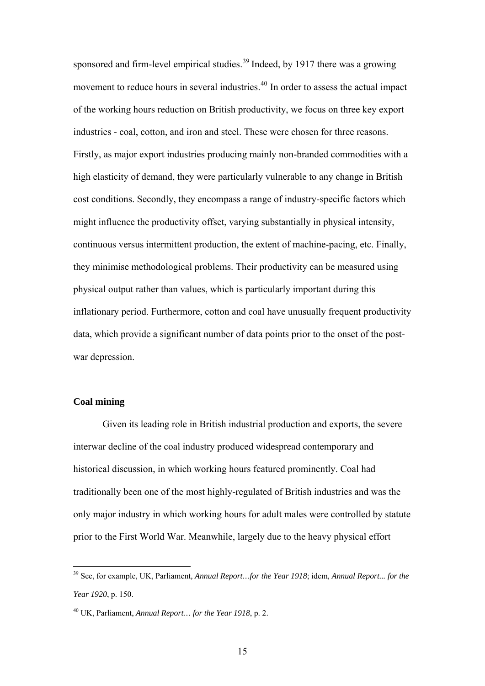<span id="page-14-0"></span>sponsored and firm-level empirical studies.<sup>[39](#page-14-0)</sup> Indeed, by 1917 there was a growing movement to reduce hours in several industries.<sup>[40](#page-14-0)</sup> In order to assess the actual impact of the working hours reduction on British productivity, we focus on three key export industries - coal, cotton, and iron and steel. These were chosen for three reasons. Firstly, as major export industries producing mainly non-branded commodities with a high elasticity of demand, they were particularly vulnerable to any change in British cost conditions. Secondly, they encompass a range of industry-specific factors which might influence the productivity offset, varying substantially in physical intensity, continuous versus intermittent production, the extent of machine-pacing, etc. Finally, they minimise methodological problems. Their productivity can be measured using physical output rather than values, which is particularly important during this inflationary period. Furthermore, cotton and coal have unusually frequent productivity data, which provide a significant number of data points prior to the onset of the postwar depression.

# **Coal mining**

1

Given its leading role in British industrial production and exports, the severe interwar decline of the coal industry produced widespread contemporary and historical discussion, in which working hours featured prominently. Coal had traditionally been one of the most highly-regulated of British industries and was the only major industry in which working hours for adult males were controlled by statute prior to the First World War. Meanwhile, largely due to the heavy physical effort

<sup>39</sup> See, for example, UK, Parliament*, Annual Report…for the Year 1918*; idem, *Annual Report... for the Year 1920*, p. 150.

<sup>40</sup> UK, Parliament, *Annual Report… for the Year 1918*, p. 2.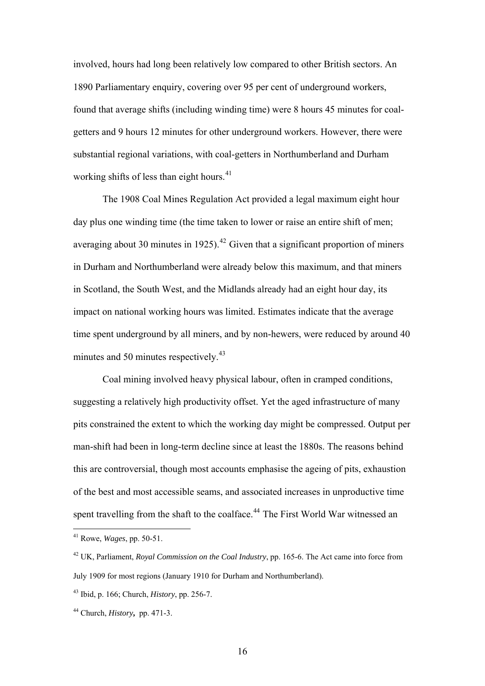<span id="page-15-0"></span>involved, hours had long been relatively low compared to other British sectors. An 1890 Parliamentary enquiry, covering over 95 per cent of underground workers, found that average shifts (including winding time) were 8 hours 45 minutes for coalgetters and 9 hours 12 minutes for other underground workers. However, there were substantial regional variations, with coal-getters in Northumberland and Durham working shifts of less than eight hours. $41$ 

The 1908 Coal Mines Regulation Act provided a legal maximum eight hour day plus one winding time (the time taken to lower or raise an entire shift of men; averaging about 30 minutes in 1925).<sup> $42$ </sup> Given that a significant proportion of miners in Durham and Northumberland were already below this maximum, and that miners in Scotland, the South West, and the Midlands already had an eight hour day, its impact on national working hours was limited. Estimates indicate that the average time spent underground by all miners, and by non-hewers, were reduced by around 40 minutes and 50 minutes respectively.<sup>[43](#page-15-0)</sup>

Coal mining involved heavy physical labour, often in cramped conditions, suggesting a relatively high productivity offset. Yet the aged infrastructure of many pits constrained the extent to which the working day might be compressed. Output per man-shift had been in long-term decline since at least the 1880s. The reasons behind this are controversial, though most accounts emphasise the ageing of pits, exhaustion of the best and most accessible seams, and associated increases in unproductive time spent travelling from the shaft to the coalface.<sup>[44](#page-15-0)</sup> The First World War witnessed an

<sup>41</sup> Rowe, *Wages*, pp. 50-51.

<sup>42</sup> UK, Parliament, *Royal Commission on the Coal Industry*, pp. 165-6. The Act came into force from July 1909 for most regions (January 1910 for Durham and Northumberland).

<sup>43</sup> Ibid, p. 166; Church, *History*, pp. 256-7.

<sup>44</sup> Church, *History***,** pp. 471-3.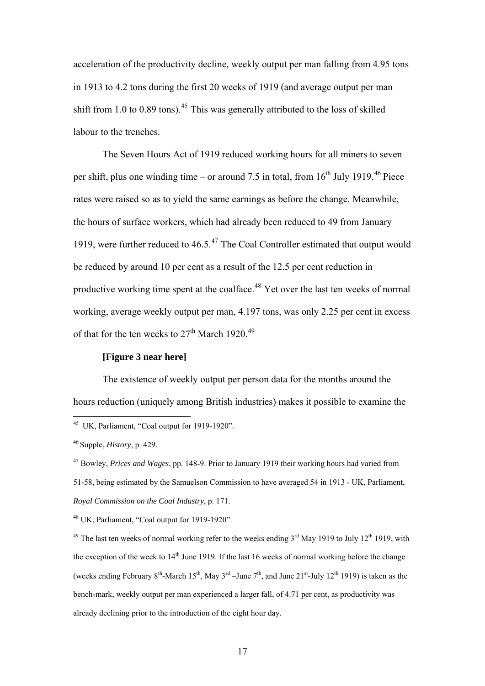<span id="page-16-0"></span>acceleration of the productivity decline, weekly output per man falling from 4.95 tons in 1913 to 4.2 tons during the first 20 weeks of 1919 (and average output per man shift from 1.0 to 0.89 tons).<sup>[45](#page-16-0)</sup> This was generally attributed to the loss of skilled labour to the trenches.

The Seven Hours Act of 1919 reduced working hours for all miners to seven per shift, plus one winding time – or around 7.5 in total, from  $16<sup>th</sup>$  July 1919.<sup>[46](#page-16-0)</sup> Piece rates were raised so as to yield the same earnings as before the change. Meanwhile, the hours of surface workers, which had already been reduced to 49 from January 1919, were further reduced to 46.5.[47](#page-16-0) The Coal Controller estimated that output would be reduced by around 10 per cent as a result of the 12.5 per cent reduction in productive working time spent at the coalface.[48](#page-16-0) Yet over the last ten weeks of normal working, average weekly output per man, 4.197 tons, was only 2.25 per cent in excess of that for the ten weeks to  $27<sup>th</sup>$  March 1920.<sup>[49](#page-16-0)</sup>

# **[Figure 3 near here]**

The existence of weekly output per person data for the months around the hours reduction (uniquely among British industries) makes it possible to examine the

1

48 UK, Parliament, "Coal output for 1919-1920".

<sup>49</sup> The last ten weeks of normal working refer to the weeks ending  $3<sup>rd</sup>$  May 1919 to July 12<sup>th</sup> 1919, with the exception of the week to  $14<sup>th</sup>$  June 1919. If the last 16 weeks of normal working before the change (weeks ending February 8<sup>th</sup>-March 15<sup>th</sup>, May 3<sup>rd</sup> –June 7<sup>th</sup>, and June 21<sup>st</sup>-July 12<sup>th</sup> 1919) is taken as the bench-mark, weekly output per man experienced a larger fall, of 4.71 per cent, as productivity was already declining prior to the introduction of the eight hour day.

<sup>&</sup>lt;sup>45</sup> UK, Parliament, "Coal output for 1919-1920".

<sup>46</sup> Supple, *History*, p. 429.

<sup>47</sup> Bowley, *Prices and Wages*, pp. 148-9. Prior to January 1919 their working hours had varied from 51-58, being estimated by the Samuelson Commission to have averaged 54 in 1913 - UK, Parliament, *Royal Commission on the Coal Industry*, p. 171.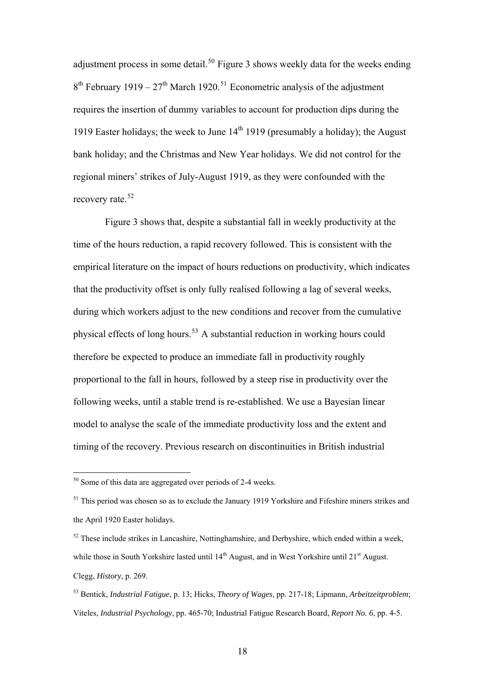<span id="page-17-0"></span>adjustment process in some detail.<sup>[50](#page-17-0)</sup> Figure 3 shows weekly data for the weeks ending  $8<sup>th</sup>$  February 1919 – 27<sup>th</sup> March 1920.<sup>[51](#page-17-0)</sup> Econometric analysis of the adjustment requires the insertion of dummy variables to account for production dips during the 1919 Easter holidays; the week to June  $14<sup>th</sup>$  1919 (presumably a holiday); the August bank holiday; and the Christmas and New Year holidays. We did not control for the regional miners' strikes of July-August 1919, as they were confounded with the recovery rate.<sup>[52](#page-17-0)</sup>

 Figure 3 shows that, despite a substantial fall in weekly productivity at the time of the hours reduction, a rapid recovery followed. This is consistent with the empirical literature on the impact of hours reductions on productivity, which indicates that the productivity offset is only fully realised following a lag of several weeks, during which workers adjust to the new conditions and recover from the cumulative physical effects of long hours.[53](#page-17-0) A substantial reduction in working hours could therefore be expected to produce an immediate fall in productivity roughly proportional to the fall in hours, followed by a steep rise in productivity over the following weeks, until a stable trend is re-established. We use a Bayesian linear model to analyse the scale of the immediate productivity loss and the extent and timing of the recovery. Previous research on discontinuities in British industrial

<sup>&</sup>lt;sup>50</sup> Some of this data are aggregated over periods of 2-4 weeks.

 $51$  This period was chosen so as to exclude the January 1919 Yorkshire and Fifeshire miners strikes and the April 1920 Easter holidays.

 $52$  These include strikes in Lancashire, Nottinghamshire, and Derbyshire, which ended within a week, while those in South Yorkshire lasted until 14<sup>th</sup> August, and in West Yorkshire until 21<sup>st</sup> August. Clegg, *History*, p. 269.

<sup>53</sup> Bentick, *Industrial Fatigue*, p. 13; Hicks, *Theory of Wages*, pp. 217-18; Lipmann, *Arbeitzeitproblem*; Viteles, *Industrial Psychology*, pp. 465-70; Industrial Fatigue Research Board, *Report No. 6*, pp. 4-5.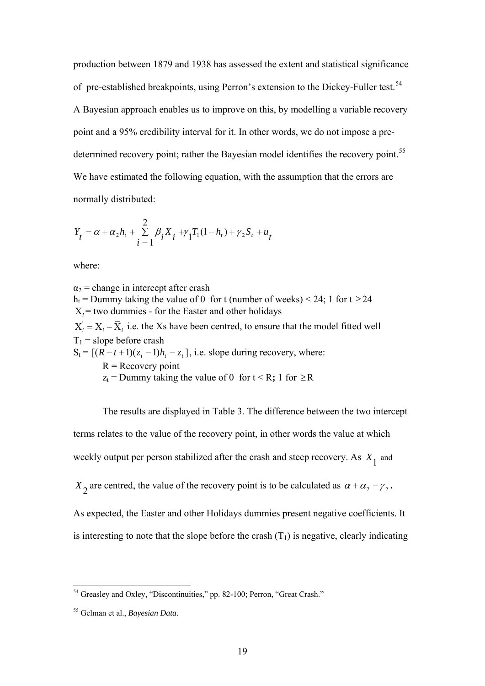<span id="page-18-0"></span>production between 1879 and 1938 has assessed the extent and statistical significance of pre-established breakpoints, using Perron's extension to the Dickey-Fuller test.<sup>[54](#page-18-0)</sup> A Bayesian approach enables us to improve on this, by modelling a variable recovery point and a 95% credibility interval for it. In other words, we do not impose a pre-determined recovery point; rather the Bayesian model identifies the recovery point.<sup>[55](#page-18-0)</sup> We have estimated the following equation, with the assumption that the errors are normally distributed:

$$
Y_{t} = \alpha + \alpha_{2}h_{t} + \sum_{i=1}^{2} \beta_{i}X_{i} + \gamma_{1}T_{1}(1 - h_{t}) + \gamma_{2}S_{t} + u_{t}
$$

where:

 $\alpha_2$  = change in intercept after crash h<sub>t</sub> = Dummy taking the value of 0 for t (number of weeks) < 24; 1 for t  $\geq$  24 Χ*<sup>i</sup>* = two dummies - for the Easter and other holidays  $X'_i = X_i - \overline{X}_i$  i.e. the Xs have been centred, to ensure that the model fitted well  $T_1$  = slope before crash  $S_t = [(R - t + 1)(z, -1)h, -z,],$  i.e. slope during recovery, where:  $R =$  Recovery point  $z_t$  = Dummy taking the value of 0 for  $t < R$ ; 1 for  $\ge R$ 

The results are displayed in Table 3. The difference between the two intercept terms relates to the value of the recovery point, in other words the value at which weekly output per person stabilized after the crash and steep recovery. As  $X_1$  and  $X_2$  are centred, the value of the recovery point is to be calculated as  $\alpha + \alpha_2 - \gamma_2$ . As expected, the Easter and other Holidays dummies present negative coefficients. It is interesting to note that the slope before the crash  $(T_1)$  is negative, clearly indicating

<sup>&</sup>lt;sup>54</sup> Greasley and Oxley, "Discontinuities," pp. 82-100; Perron, "Great Crash."

<sup>55</sup> Gelman et al., *Bayesian Data*.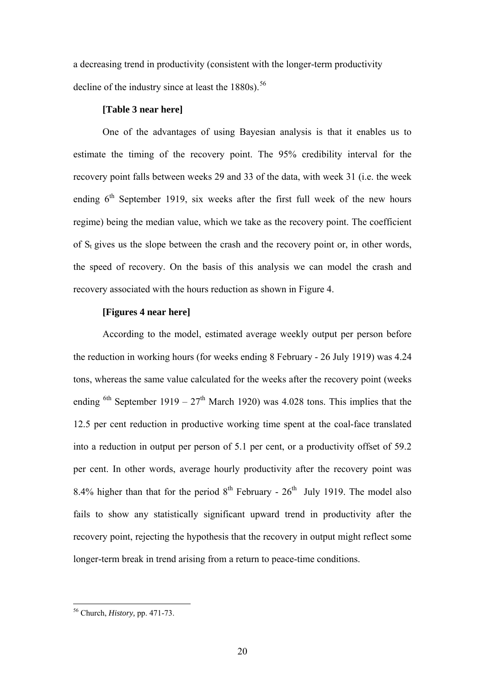<span id="page-19-0"></span>a decreasing trend in productivity (consistent with the longer-term productivity decline of the industry since at least the  $1880s$ .<sup>[56](#page-19-0)</sup>

#### **[Table 3 near here]**

One of the advantages of using Bayesian analysis is that it enables us to estimate the timing of the recovery point. The 95% credibility interval for the recovery point falls between weeks 29 and 33 of the data, with week 31 (i.e. the week ending  $6<sup>th</sup>$  September 1919, six weeks after the first full week of the new hours regime) being the median value, which we take as the recovery point. The coefficient of  $S_t$  gives us the slope between the crash and the recovery point or, in other words, the speed of recovery. On the basis of this analysis we can model the crash and recovery associated with the hours reduction as shown in Figure 4.

# **[Figures 4 near here]**

According to the model, estimated average weekly output per person before the reduction in working hours (for weeks ending 8 February - 26 July 1919) was 4.24 tons, whereas the same value calculated for the weeks after the recovery point (weeks ending <sup>6th</sup> September 1919 –  $27<sup>th</sup>$  March 1920) was 4.028 tons. This implies that the 12.5 per cent reduction in productive working time spent at the coal-face translated into a reduction in output per person of 5.1 per cent, or a productivity offset of 59.2 per cent. In other words, average hourly productivity after the recovery point was 8.4% higher than that for the period  $8<sup>th</sup>$  February -  $26<sup>th</sup>$  July 1919. The model also fails to show any statistically significant upward trend in productivity after the recovery point, rejecting the hypothesis that the recovery in output might reflect some longer-term break in trend arising from a return to peace-time conditions.

<u>.</u>

<sup>56</sup> Church, *History,* pp. 471-73.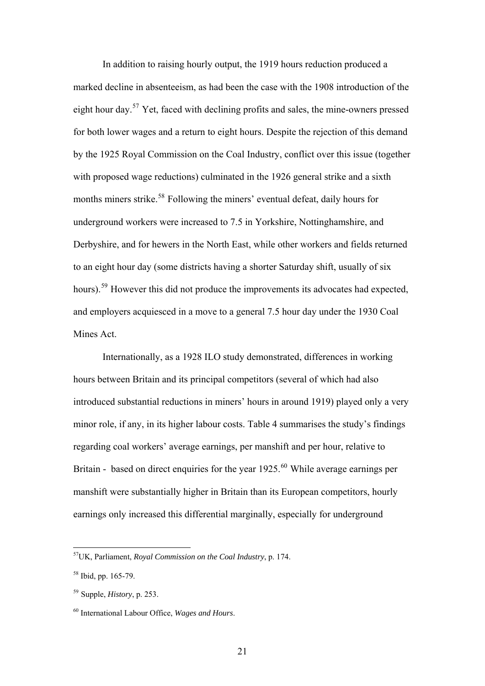<span id="page-20-0"></span>In addition to raising hourly output, the 1919 hours reduction produced a marked decline in absenteeism, as had been the case with the 1908 introduction of the eight hour day.[57](#page-20-0) Yet, faced with declining profits and sales, the mine-owners pressed for both lower wages and a return to eight hours. Despite the rejection of this demand by the 1925 Royal Commission on the Coal Industry, conflict over this issue (together with proposed wage reductions) culminated in the 1926 general strike and a sixth months miners strike.<sup>[58](#page-20-0)</sup> Following the miners' eventual defeat, daily hours for underground workers were increased to 7.5 in Yorkshire, Nottinghamshire, and Derbyshire, and for hewers in the North East, while other workers and fields returned to an eight hour day (some districts having a shorter Saturday shift, usually of six hours).<sup>[59](#page-20-0)</sup> However this did not produce the improvements its advocates had expected, and employers acquiesced in a move to a general 7.5 hour day under the 1930 Coal Mines Act.

Internationally, as a 1928 ILO study demonstrated, differences in working hours between Britain and its principal competitors (several of which had also introduced substantial reductions in miners' hours in around 1919) played only a very minor role, if any, in its higher labour costs. Table 4 summarises the study's findings regarding coal workers' average earnings, per manshift and per hour, relative to Britain - based on direct enquiries for the year  $1925<sup>60</sup>$  $1925<sup>60</sup>$  $1925<sup>60</sup>$  While average earnings per manshift were substantially higher in Britain than its European competitors, hourly earnings only increased this differential marginally, especially for underground

<u>.</u>

<sup>57</sup>UK, Parliament, *Royal Commission on the Coal Industry*, p. 174.

<sup>58</sup> Ibid, pp. 165-79.

<sup>59</sup> Supple, *History*, p. 253.

<sup>60</sup> International Labour Office, *Wages and Hours*.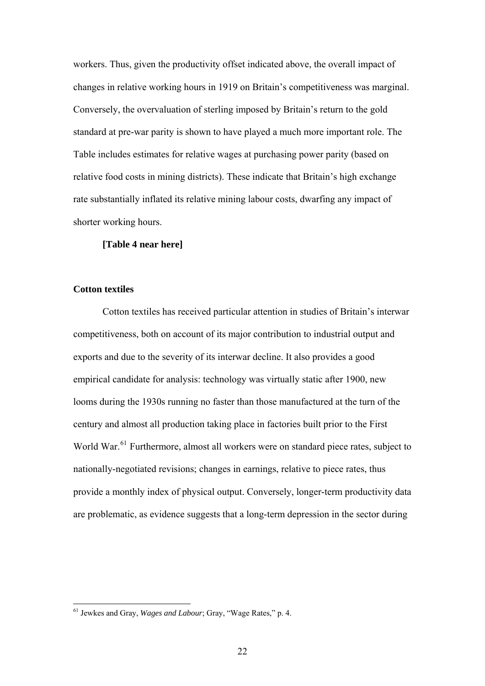<span id="page-21-0"></span>workers. Thus, given the productivity offset indicated above, the overall impact of changes in relative working hours in 1919 on Britain's competitiveness was marginal. Conversely, the overvaluation of sterling imposed by Britain's return to the gold standard at pre-war parity is shown to have played a much more important role. The Table includes estimates for relative wages at purchasing power parity (based on relative food costs in mining districts). These indicate that Britain's high exchange rate substantially inflated its relative mining labour costs, dwarfing any impact of shorter working hours.

#### **[Table 4 near here]**

# **Cotton textiles**

<u>.</u>

Cotton textiles has received particular attention in studies of Britain's interwar competitiveness, both on account of its major contribution to industrial output and exports and due to the severity of its interwar decline. It also provides a good empirical candidate for analysis: technology was virtually static after 1900, new looms during the 1930s running no faster than those manufactured at the turn of the century and almost all production taking place in factories built prior to the First World War.<sup>[61](#page-21-0)</sup> Furthermore, almost all workers were on standard piece rates, subject to nationally-negotiated revisions; changes in earnings, relative to piece rates, thus provide a monthly index of physical output. Conversely, longer-term productivity data are problematic, as evidence suggests that a long-term depression in the sector during

<sup>61</sup> Jewkes and Gray, *Wages and Labour*; Gray, "Wage Rates," p. 4.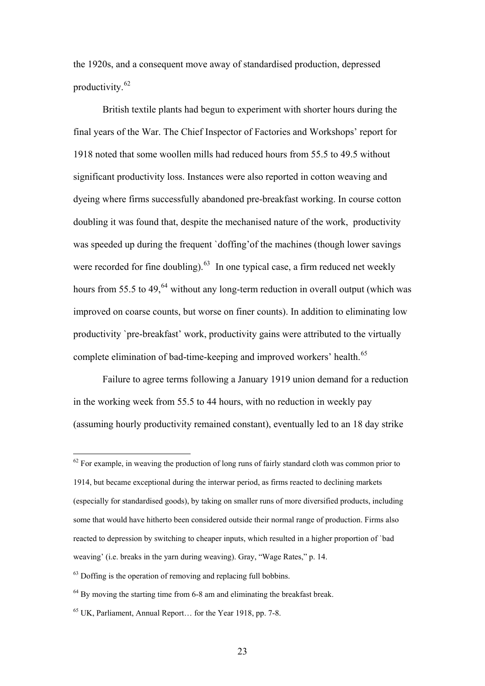<span id="page-22-0"></span>the 1920s, and a consequent move away of standardised production, depressed productivity.[62](#page-22-0)

 British textile plants had begun to experiment with shorter hours during the final years of the War. The Chief Inspector of Factories and Workshops' report for 1918 noted that some woollen mills had reduced hours from 55.5 to 49.5 without significant productivity loss. Instances were also reported in cotton weaving and dyeing where firms successfully abandoned pre-breakfast working. In course cotton doubling it was found that, despite the mechanised nature of the work, productivity was speeded up during the frequent `doffing'of the machines (though lower savings were recorded for fine doubling). $^{63}$  $^{63}$  $^{63}$  In one typical case, a firm reduced net weekly hours from 55.5 to 49, $^{64}$  $^{64}$  $^{64}$  without any long-term reduction in overall output (which was improved on coarse counts, but worse on finer counts). In addition to eliminating low productivity `pre-breakfast' work, productivity gains were attributed to the virtually complete elimination of bad-time-keeping and improved workers' health.<sup>[65](#page-22-0)</sup>

Failure to agree terms following a January 1919 union demand for a reduction in the working week from 55.5 to 44 hours, with no reduction in weekly pay (assuming hourly productivity remained constant), eventually led to an 18 day strike

 $62$  For example, in weaving the production of long runs of fairly standard cloth was common prior to 1914, but became exceptional during the interwar period, as firms reacted to declining markets (especially for standardised goods), by taking on smaller runs of more diversified products, including some that would have hitherto been considered outside their normal range of production. Firms also reacted to depression by switching to cheaper inputs, which resulted in a higher proportion of `bad weaving' (i.e. breaks in the yarn during weaving). Gray, "Wage Rates," p. 14.

 $63$  Doffing is the operation of removing and replacing full bobbins.

 $64$  By moving the starting time from 6-8 am and eliminating the breakfast break.

 $65$  UK, Parliament, Annual Report for the Year 1918, pp. 7-8.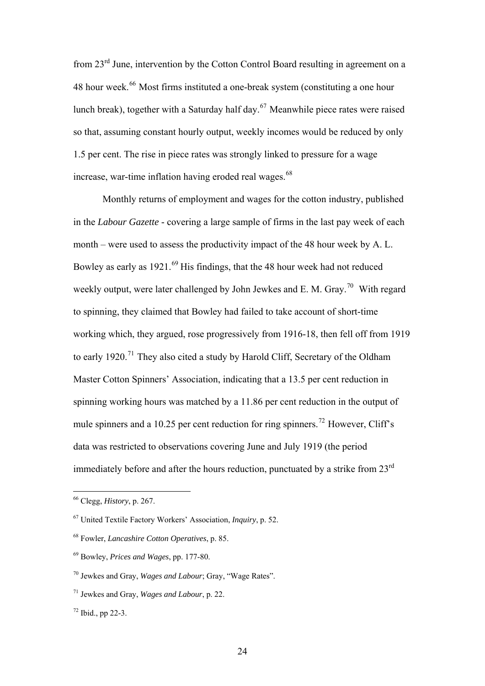<span id="page-23-0"></span>from 23rd June, intervention by the Cotton Control Board resulting in agreement on a 48 hour week.<sup>[66](#page-23-0)</sup> Most firms instituted a one-break system (constituting a one hour lunch break), together with a Saturday half day.<sup>[67](#page-23-0)</sup> Meanwhile piece rates were raised so that, assuming constant hourly output, weekly incomes would be reduced by only 1.5 per cent. The rise in piece rates was strongly linked to pressure for a wage increase, war-time inflation having eroded real wages.<sup>[68](#page-23-0)</sup>

 Monthly returns of employment and wages for the cotton industry, published in the *Labour Gazette* - covering a large sample of firms in the last pay week of each month – were used to assess the productivity impact of the 48 hour week by A. L. Bowley as early as  $1921.^{69}$  $1921.^{69}$  $1921.^{69}$  His findings, that the 48 hour week had not reduced weekly output, were later challenged by John Jewkes and E. M. Gray.<sup>[70](#page-23-0)</sup> With regard to spinning, they claimed that Bowley had failed to take account of short-time working which, they argued, rose progressively from 1916-18, then fell off from 1919 to early 1920.<sup>[71](#page-23-0)</sup> They also cited a study by Harold Cliff, Secretary of the Oldham Master Cotton Spinners' Association, indicating that a 13.5 per cent reduction in spinning working hours was matched by a 11.86 per cent reduction in the output of mule spinners and a 10.25 per cent reduction for ring spinners.<sup>[72](#page-23-0)</sup> However, Cliff's data was restricted to observations covering June and July 1919 (the period immediately before and after the hours reduction, punctuated by a strike from  $23<sup>rd</sup>$ 

<u>.</u>

<sup>66</sup> Clegg, *History*, p. 267.

<sup>67</sup> United Textile Factory Workers' Association, *Inquiry*, p. 52.

<sup>68</sup> Fowler, *Lancashire Cotton Operatives*, p. 85.

<sup>69</sup> Bowley, *Prices and Wages*, pp. 177-80.

<sup>70</sup> Jewkes and Gray, *Wages and Labour*; Gray, "Wage Rates".

<sup>71</sup> Jewkes and Gray, *Wages and Labour*, p. 22.

 $72$  Ibid., pp 22-3.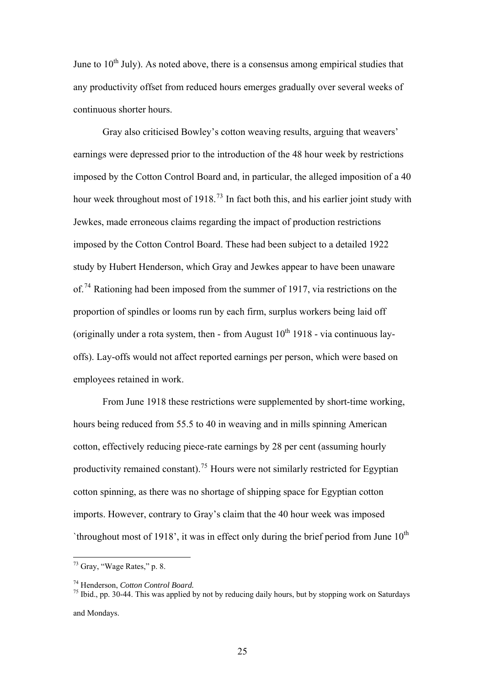<span id="page-24-0"></span>June to  $10<sup>th</sup>$  July). As noted above, there is a consensus among empirical studies that any productivity offset from reduced hours emerges gradually over several weeks of continuous shorter hours.

 Gray also criticised Bowley's cotton weaving results, arguing that weavers' earnings were depressed prior to the introduction of the 48 hour week by restrictions imposed by the Cotton Control Board and, in particular, the alleged imposition of a 40 hour week throughout most of 1918.<sup>[73](#page-24-0)</sup> In fact both this, and his earlier joint study with Jewkes, made erroneous claims regarding the impact of production restrictions imposed by the Cotton Control Board. These had been subject to a detailed 1922 study by Hubert Henderson, which Gray and Jewkes appear to have been unaware of.<sup>[74](#page-24-0)</sup> Rationing had been imposed from the summer of 1917, via restrictions on the proportion of spindles or looms run by each firm, surplus workers being laid off (originally under a rota system, then - from August  $10^{th}$  1918 - via continuous layoffs). Lay-offs would not affect reported earnings per person, which were based on employees retained in work.

From June 1918 these restrictions were supplemented by short-time working, hours being reduced from 55.5 to 40 in weaving and in mills spinning American cotton, effectively reducing piece-rate earnings by 28 per cent (assuming hourly productivity remained constant).<sup>[75](#page-24-0)</sup> Hours were not similarly restricted for Egyptian cotton spinning, as there was no shortage of shipping space for Egyptian cotton imports. However, contrary to Gray's claim that the 40 hour week was imposed 'throughout most of 1918', it was in effect only during the brief period from June  $10<sup>th</sup>$ 

1

74 Henderson, *Cotton Control Board.* 75 Ibid., pp. 30-44. This was applied by not by reducing daily hours, but by stopping work on Saturdays and Mondays.

 $73$  Gray, "Wage Rates," p. 8.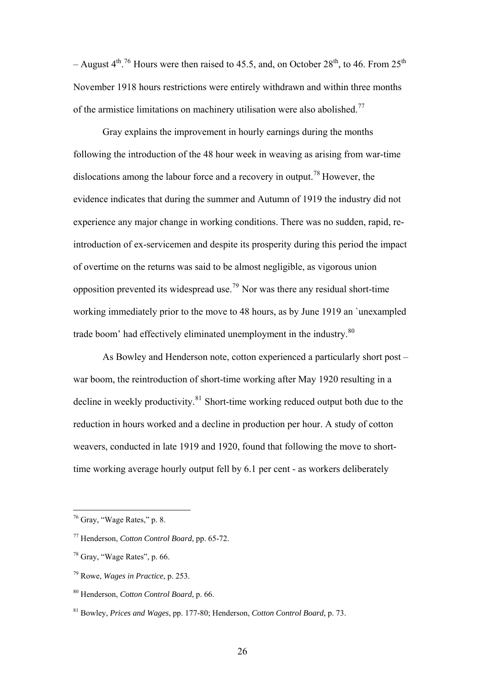<span id="page-25-0"></span>– August 4<sup>th [76](#page-25-0)</sup> Hours were then raised to 45.5, and, on October 28<sup>th</sup>, to 46. From 25<sup>th</sup> November 1918 hours restrictions were entirely withdrawn and within three months of the armistice limitations on machinery utilisation were also abolished.<sup>[77](#page-25-0)</sup>

Gray explains the improvement in hourly earnings during the months following the introduction of the 48 hour week in weaving as arising from war-time dislocations among the labour force and a recovery in output.[78](#page-25-0) However, the evidence indicates that during the summer and Autumn of 1919 the industry did not experience any major change in working conditions. There was no sudden, rapid, reintroduction of ex-servicemen and despite its prosperity during this period the impact of overtime on the returns was said to be almost negligible, as vigorous union opposition prevented its widespread use.<sup>[79](#page-25-0)</sup> Nor was there any residual short-time trade boom' had effectively eliminated unemployment in the industry.<sup>80</sup> working immediately prior to the move to 48 hours, as by June 1919 an `unexampled

As Bowley and Henderson note, cotton experienced a particularly short post – war boom, the reintroduction of short-time working after May 1920 resulting in a decline in weekly productivity.<sup>[81](#page-25-0)</sup> Short-time working reduced output both due to the reduction in hours worked and a decline in production per hour. A study of cotton weavers, conducted in late 1919 and 1920, found that following the move to shorttime working average hourly output fell by 6.1 per cent - as workers deliberately

<sup>76</sup> Gray, "Wage Rates," p. 8.

<sup>77</sup> Henderson, *Cotton Control Board*, pp. 65-72.

<sup>78</sup> Gray, "Wage Rates", p. 66.

<sup>79</sup> Rowe, *Wages in Practice*, p. 253.

<sup>80</sup> Henderson, *Cotton Control Board*, p. 66.

<sup>81</sup> Bowley, *Prices and Wages*, pp. 177-80; Henderson, *Cotton Control Board*, p. 73.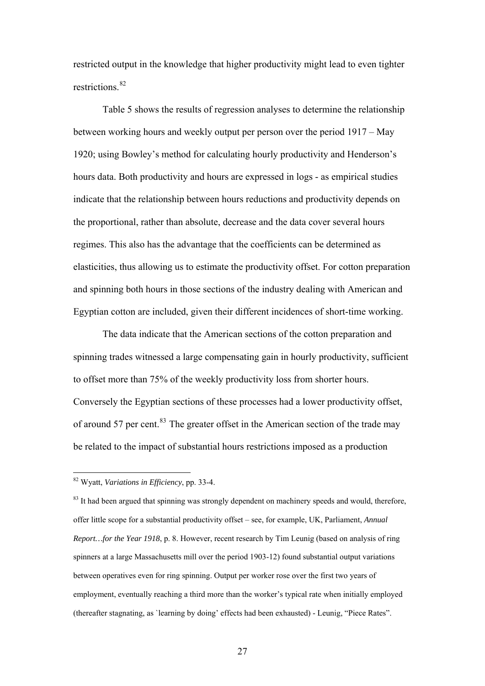<span id="page-26-0"></span>restricted output in the knowledge that higher productivity might lead to even tighter restrictions.<sup>[82](#page-26-0)</sup>

 Table 5 shows the results of regression analyses to determine the relationship between working hours and weekly output per person over the period 1917 – May 1920; using Bowley's method for calculating hourly productivity and Henderson's hours data. Both productivity and hours are expressed in logs - as empirical studies indicate that the relationship between hours reductions and productivity depends on the proportional, rather than absolute, decrease and the data cover several hours regimes. This also has the advantage that the coefficients can be determined as elasticities, thus allowing us to estimate the productivity offset. For cotton preparation and spinning both hours in those sections of the industry dealing with American and Egyptian cotton are included, given their different incidences of short-time working.

 The data indicate that the American sections of the cotton preparation and spinning trades witnessed a large compensating gain in hourly productivity, sufficient to offset more than 75% of the weekly productivity loss from shorter hours. Conversely the Egyptian sections of these processes had a lower productivity offset, of around 57 per cent.<sup>[83](#page-26-0)</sup> The greater offset in the American section of the trade may be related to the impact of substantial hours restrictions imposed as a production

<sup>82</sup> Wyatt, *Variations in Efficiency*, pp. 33-4.

<sup>&</sup>lt;sup>83</sup> It had been argued that spinning was strongly dependent on machinery speeds and would, therefore, offer little scope for a substantial productivity offset – see, for example, UK, Parliament, *Annual Report…for the Year 1918*, p. 8. However, recent research by Tim Leunig (based on analysis of ring spinners at a large Massachusetts mill over the period 1903-12) found substantial output variations between operatives even for ring spinning. Output per worker rose over the first two years of employment, eventually reaching a third more than the worker's typical rate when initially employed (thereafter stagnating, as `learning by doing' effects had been exhausted) - Leunig, "Piece Rates".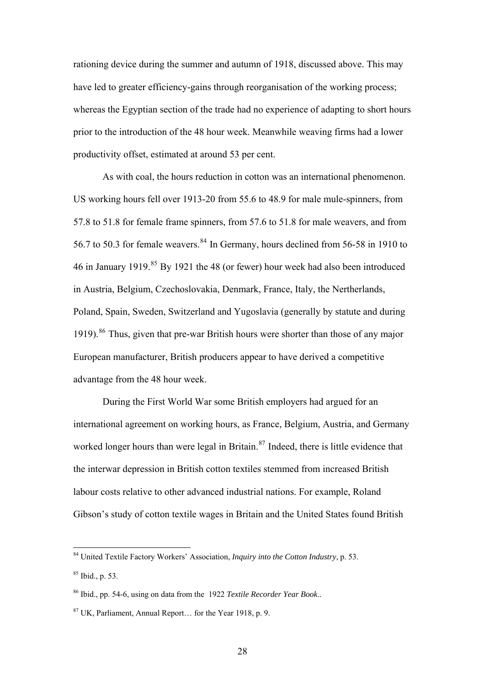<span id="page-27-0"></span>rationing device during the summer and autumn of 1918, discussed above. This may have led to greater efficiency-gains through reorganisation of the working process; whereas the Egyptian section of the trade had no experience of adapting to short hours prior to the introduction of the 48 hour week. Meanwhile weaving firms had a lower productivity offset, estimated at around 53 per cent.

As with coal, the hours reduction in cotton was an international phenomenon. US working hours fell over 1913-20 from 55.6 to 48.9 for male mule-spinners, from 57.8 to 51.8 for female frame spinners, from 57.6 to 51.8 for male weavers, and from 56.7 to 50.3 for female weavers.[84](#page-27-0) In Germany, hours declined from 56-58 in 1910 to 46 in January 1919.<sup>[85](#page-27-0)</sup> By 1921 the 48 (or fewer) hour week had also been introduced in Austria, Belgium, Czechoslovakia, Denmark, France, Italy, the Nertherlands, Poland, Spain, Sweden, Switzerland and Yugoslavia (generally by statute and during 1919).<sup>[86](#page-27-0)</sup> Thus, given that pre-war British hours were shorter than those of any major European manufacturer, British producers appear to have derived a competitive advantage from the 48 hour week.

During the First World War some British employers had argued for an international agreement on working hours, as France, Belgium, Austria, and Germany worked longer hours than were legal in Britain.<sup>[87](#page-27-0)</sup> Indeed, there is little evidence that the interwar depression in British cotton textiles stemmed from increased British labour costs relative to other advanced industrial nations. For example, Roland Gibson's study of cotton textile wages in Britain and the United States found British

<u>.</u>

<sup>84</sup> United Textile Factory Workers' Association, *Inquiry into the Cotton Industry*, p. 53.

 $85$  Ibid., p. 53.

<sup>86</sup> Ibid., pp. 54-6, using on data from the 1922 *Textile Recorder Year Book*..

<sup>87</sup> UK, Parliament, Annual Report… for the Year 1918, p. 9.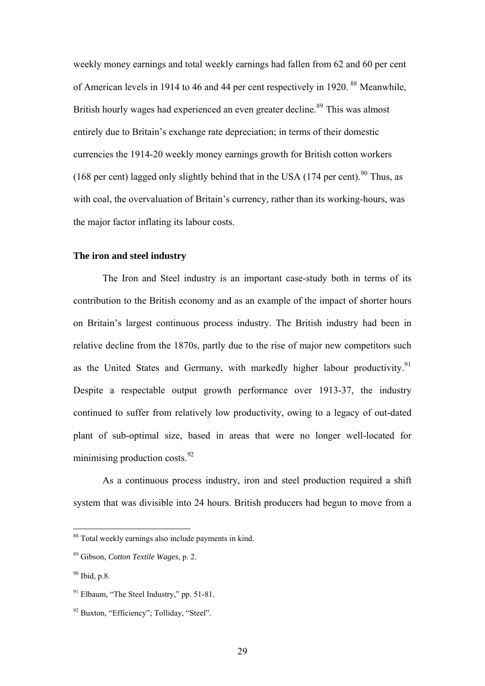<span id="page-28-0"></span>weekly money earnings and total weekly earnings had fallen from 62 and 60 per cent of American levels in 1914 to 46 and 44 per cent respectively in 1920. [88](#page-28-0) Meanwhile, British hourly wages had experienced an even greater decline.<sup>[89](#page-28-0)</sup> This was almost entirely due to Britain's exchange rate depreciation; in terms of their domestic currencies the 1914-20 weekly money earnings growth for British cotton workers (168 per cent) lagged only slightly behind that in the USA (174 per cent). <sup>[90](#page-28-0)</sup> Thus, as with coal, the overvaluation of Britain's currency, rather than its working-hours, was the major factor inflating its labour costs.

# **The iron and steel industry**

The Iron and Steel industry is an important case-study both in terms of its contribution to the British economy and as an example of the impact of shorter hours on Britain's largest continuous process industry. The British industry had been in relative decline from the 1870s, partly due to the rise of major new competitors such as the United States and Germany, with markedly higher labour productivity.<sup>[91](#page-28-0)</sup> Despite a respectable output growth performance over 1913-37, the industry continued to suffer from relatively low productivity, owing to a legacy of out-dated plant of sub-optimal size, based in areas that were no longer well-located for minimising production costs. $92$ 

 As a continuous process industry, iron and steel production required a shift system that was divisible into 24 hours. British producers had begun to move from a

<sup>88</sup> Total weekly earnings also include payments in kind.

<sup>89</sup> Gibson, *Cotton Textile Wages*, p. 2.

<sup>90</sup> Ibid, p.8.

<sup>91</sup> Elbaum, "The Steel Industry," pp. 51-81.

<sup>&</sup>lt;sup>92</sup> Buxton, "Efficiency": Tolliday, "Steel".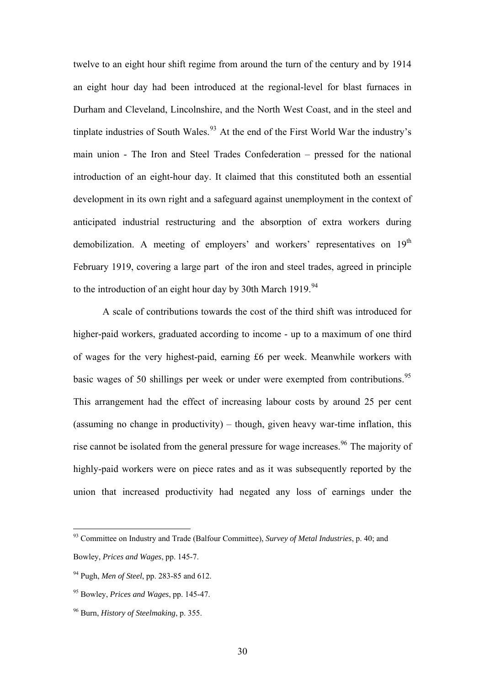<span id="page-29-0"></span>twelve to an eight hour shift regime from around the turn of the century and by 1914 an eight hour day had been introduced at the regional-level for blast furnaces in Durham and Cleveland, Lincolnshire, and the North West Coast, and in the steel and tinplate industries of South Wales.<sup>[93](#page-29-0)</sup> At the end of the First World War the industry's main union - The Iron and Steel Trades Confederation – pressed for the national introduction of an eight-hour day. It claimed that this constituted both an essential development in its own right and a safeguard against unemployment in the context of anticipated industrial restructuring and the absorption of extra workers during demobilization. A meeting of employers' and workers' representatives on  $19<sup>th</sup>$ February 1919, covering a large part of the iron and steel trades, agreed in principle to the introduction of an eight hour day by 30th March 1919.<sup>[94](#page-29-0)</sup>

A scale of contributions towards the cost of the third shift was introduced for higher-paid workers, graduated according to income - up to a maximum of one third of wages for the very highest-paid, earning £6 per week. Meanwhile workers with basic wages of 50 shillings per week or under were exempted from contributions.<sup>[95](#page-29-0)</sup> This arrangement had the effect of increasing labour costs by around 25 per cent (assuming no change in productivity) – though, given heavy war-time inflation, this rise cannot be isolated from the general pressure for wage increases.<sup>[96](#page-29-0)</sup> The majority of highly-paid workers were on piece rates and as it was subsequently reported by the union that increased productivity had negated any loss of earnings under the

<sup>93</sup> Committee on Industry and Trade (Balfour Committee), *Survey of Metal Industries*, p. 40; and Bowley, *Prices and Wages*, pp. 145-7.

<sup>94</sup> Pugh, *Men of Steel*, pp. 283-85 and 612.

<sup>95</sup> Bowley, *Prices and Wages*, pp. 145-47.

<sup>96</sup> Burn, *History of Steelmaking*, p. 355.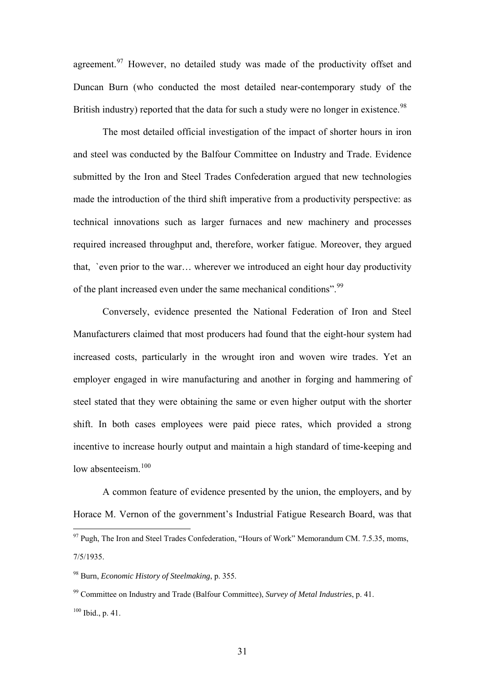<span id="page-30-0"></span>agreement.<sup>[97](#page-30-0)</sup> However, no detailed study was made of the productivity offset and Duncan Burn (who conducted the most detailed near-contemporary study of the British industry) reported that the data for such a study were no longer in existence.<sup>[98](#page-30-0)</sup>

The most detailed official investigation of the impact of shorter hours in iron and steel was conducted by the Balfour Committee on Industry and Trade. Evidence submitted by the Iron and Steel Trades Confederation argued that new technologies made the introduction of the third shift imperative from a productivity perspective: as technical innovations such as larger furnaces and new machinery and processes required increased throughput and, therefore, worker fatigue. Moreover, they argued that, `even prior to the war… wherever we introduced an eight hour day productivity of the plant increased even under the same mechanical conditions".<sup>[99](#page-30-0)</sup>

Conversely, evidence presented the National Federation of Iron and Steel Manufacturers claimed that most producers had found that the eight-hour system had increased costs, particularly in the wrought iron and woven wire trades. Yet an employer engaged in wire manufacturing and another in forging and hammering of steel stated that they were obtaining the same or even higher output with the shorter shift. In both cases employees were paid piece rates, which provided a strong incentive to increase hourly output and maintain a high standard of time-keeping and low absenteeism $100$ 

 A common feature of evidence presented by the union, the employers, and by Horace M. Vernon of the government's Industrial Fatigue Research Board, was that

 $97$  Pugh, The Iron and Steel Trades Confederation, "Hours of Work" Memorandum CM. 7.5.35, moms, 7/5/1935.

<sup>98</sup> Burn, *Economic History of Steelmaking*, p. 355.

<sup>99</sup> Committee on Industry and Trade (Balfour Committee), *Survey of Metal Industries*, p. 41.  $100$  Ibid., p. 41.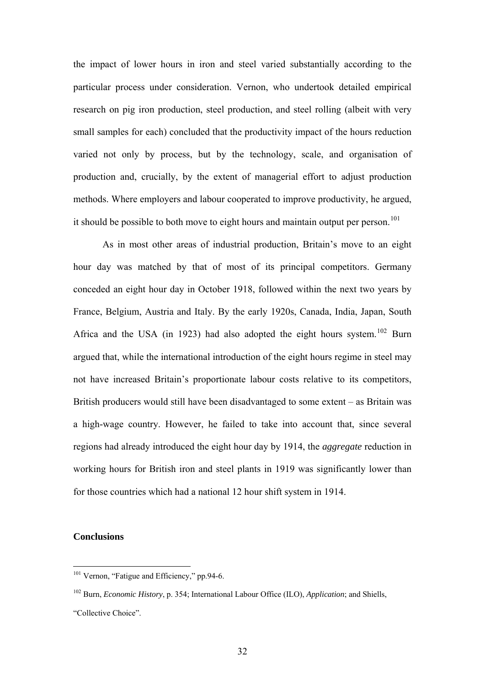<span id="page-31-0"></span>the impact of lower hours in iron and steel varied substantially according to the particular process under consideration. Vernon, who undertook detailed empirical research on pig iron production, steel production, and steel rolling (albeit with very small samples for each) concluded that the productivity impact of the hours reduction varied not only by process, but by the technology, scale, and organisation of production and, crucially, by the extent of managerial effort to adjust production methods. Where employers and labour cooperated to improve productivity, he argued, it should be possible to both move to eight hours and maintain output per person.<sup>[101](#page-31-0)</sup>

As in most other areas of industrial production, Britain's move to an eight hour day was matched by that of most of its principal competitors. Germany conceded an eight hour day in October 1918, followed within the next two years by France, Belgium, Austria and Italy. By the early 1920s, Canada, India, Japan, South Africa and the USA (in 1923) had also adopted the eight hours system.<sup>[102](#page-31-0)</sup> Burn argued that, while the international introduction of the eight hours regime in steel may not have increased Britain's proportionate labour costs relative to its competitors, British producers would still have been disadvantaged to some extent – as Britain was a high-wage country. However, he failed to take into account that, since several regions had already introduced the eight hour day by 1914, the *aggregate* reduction in working hours for British iron and steel plants in 1919 was significantly lower than for those countries which had a national 12 hour shift system in 1914.

# **Conclusions**

<sup>&</sup>lt;sup>101</sup> Vernon, "Fatigue and Efficiency," pp.94-6.

<sup>102</sup> Burn, *Economic History*, p. 354; International Labour Office (ILO), *Application*; and Shiells,

<sup>&</sup>quot;Collective Choice".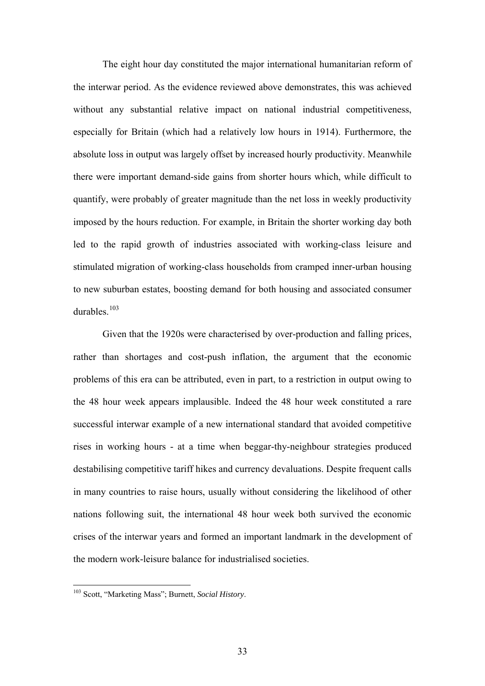<span id="page-32-0"></span> The eight hour day constituted the major international humanitarian reform of the interwar period. As the evidence reviewed above demonstrates, this was achieved without any substantial relative impact on national industrial competitiveness, especially for Britain (which had a relatively low hours in 1914). Furthermore, the absolute loss in output was largely offset by increased hourly productivity. Meanwhile there were important demand-side gains from shorter hours which, while difficult to quantify, were probably of greater magnitude than the net loss in weekly productivity imposed by the hours reduction. For example, in Britain the shorter working day both led to the rapid growth of industries associated with working-class leisure and stimulated migration of working-class households from cramped inner-urban housing to new suburban estates, boosting demand for both housing and associated consumer durables.<sup>[103](#page-32-0)</sup>

 Given that the 1920s were characterised by over-production and falling prices, rather than shortages and cost-push inflation, the argument that the economic problems of this era can be attributed, even in part, to a restriction in output owing to the 48 hour week appears implausible. Indeed the 48 hour week constituted a rare successful interwar example of a new international standard that avoided competitive rises in working hours - at a time when beggar-thy-neighbour strategies produced destabilising competitive tariff hikes and currency devaluations. Despite frequent calls in many countries to raise hours, usually without considering the likelihood of other nations following suit, the international 48 hour week both survived the economic crises of the interwar years and formed an important landmark in the development of the modern work-leisure balance for industrialised societies.

<sup>103</sup> Scott, "Marketing Mass"; Burnett, *Social History*.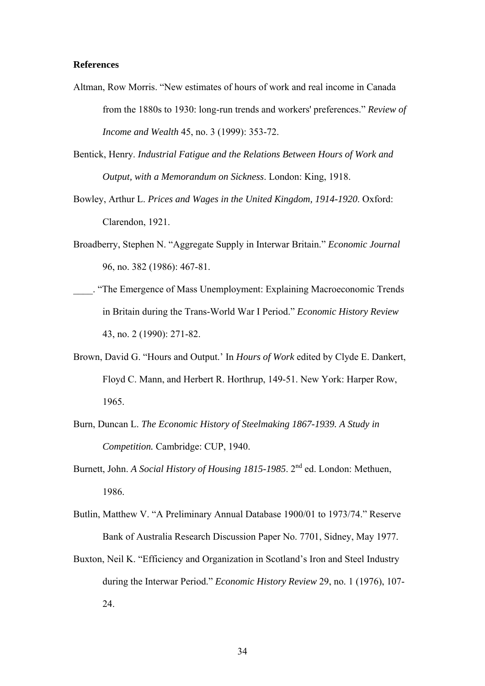#### **References**

- Altman, Row Morris. "New estimates of hours of work and real income in Canada from the 1880s to 1930: long-run trends and workers' preferences." *Review of Income and Wealth* 45, no. 3 (1999): 353-72.
- Bentick, Henry. *Industrial Fatigue and the Relations Between Hours of Work and Output, with a Memorandum on Sickness*. London: King, 1918.
- Bowley, Arthur L. *Prices and Wages in the United Kingdom, 1914-1920*. Oxford: Clarendon, 1921.
- Broadberry, Stephen N. "Aggregate Supply in Interwar Britain." *Economic Journal* 96, no. 382 (1986): 467-81.
- \_\_\_\_. "The Emergence of Mass Unemployment: Explaining Macroeconomic Trends in Britain during the Trans-World War I Period." *Economic History Review* 43, no. 2 (1990): 271-82.
- Brown, David G. "Hours and Output.' In *Hours of Work* edited by Clyde E. Dankert, Floyd C. Mann, and Herbert R. Horthrup, 149-51. New York: Harper Row, 1965.
- Burn, Duncan L. *The Economic History of Steelmaking 1867-1939. A Study in Competition.* Cambridge: CUP, 1940.
- Burnett, John. *A Social History of Housing 1815-1985*. 2nd ed. London: Methuen, 1986.
- Butlin, Matthew V. "A Preliminary Annual Database 1900/01 to 1973/74." Reserve Bank of Australia Research Discussion Paper No. 7701, Sidney, May 1977.
- Buxton, Neil K. "Efficiency and Organization in Scotland's Iron and Steel Industry during the Interwar Period." *Economic History Review* 29, no. 1 (1976), 107- 24.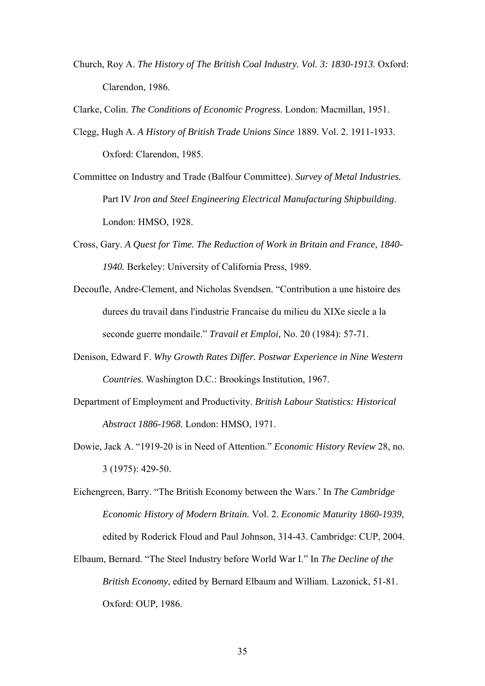Church, Roy A. *The History of The British Coal Industry. Vol. 3: 1830-1913*. Oxford: Clarendon, 1986.

Clarke, Colin. *The Conditions of Economic Progress*. London: Macmillan, 1951.

- Clegg, Hugh A. *A History of British Trade Unions Since* 1889. Vol. 2. 1911-1933. Oxford: Clarendon, 1985.
- Committee on Industry and Trade (Balfour Committee). *Survey of Metal Industries.*  Part IV *Iron and Steel Engineering Electrical Manufacturing Shipbuilding*. London: HMSO, 1928.
- Cross, Gary. *A Quest for Time. The Reduction of Work in Britain and France, 1840- 1940.* Berkeley: University of California Press, 1989.
- Decoufle, Andre-Clement, and Nicholas Svendsen. "Contribution a une histoire des durees du travail dans l'industrie Francaise du milieu du XIXe siecle a la seconde guerre mondaile." *Travail et Emploi,* No. 20 (1984): 57-71.
- Denison, Edward F. *Why Growth Rates Differ. Postwar Experience in Nine Western Countries*. Washington D.C.: Brookings Institution, 1967.
- Department of Employment and Productivity. *British Labour Statistics: Historical Abstract 1886-1968.* London: HMSO, 1971.
- Dowie, Jack A. "1919-20 is in Need of Attention." *Economic History Review* 28, no. 3 (1975): 429-50.
- Eichengreen, Barry. "The British Economy between the Wars.' In *The Cambridge Economic History of Modern Britain.* Vol. 2. *Economic Maturity 1860-1939*, edited by Roderick Floud and Paul Johnson, 314-43. Cambridge: CUP, 2004.
- Elbaum, Bernard. "The Steel Industry before World War I." In *The Decline of the British Economy*, edited by Bernard Elbaum and William. Lazonick, 51-81. Oxford: OUP, 1986.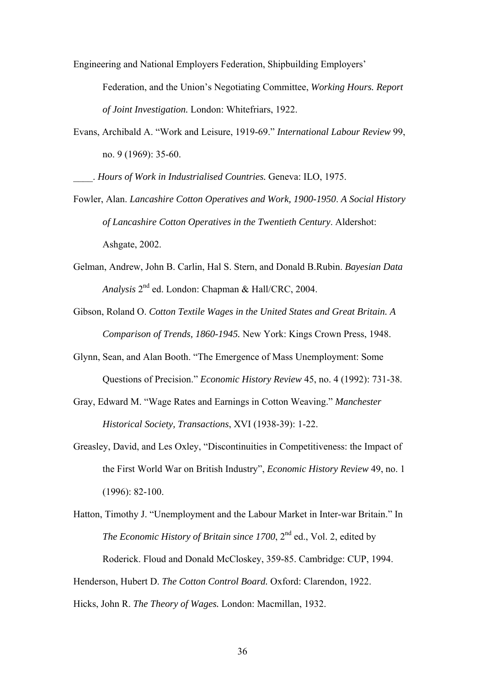Engineering and National Employers Federation, Shipbuilding Employers' Federation, and the Union's Negotiating Committee, *Working Hours. Report of Joint Investigation.* London: Whitefriars, 1922.

Evans, Archibald A. "Work and Leisure, 1919-69." *International Labour Review* 99, no. 9 (1969): 35-60.

\_\_\_\_. *Hours of Work in Industrialised Countries.* Geneva: ILO, 1975.

- Fowler, Alan. *Lancashire Cotton Operatives and Work, 1900-1950*. *A Social History of Lancashire Cotton Operatives in the Twentieth Century*. Aldershot: Ashgate, 2002.
- Gelman, Andrew, John B. Carlin, Hal S. Stern, and Donald B.Rubin. *Bayesian Data Analysis* 2nd ed. London: Chapman & Hall/CRC, 2004.
- Gibson, Roland O. *Cotton Textile Wages in the United States and Great Britain. A Comparison of Trends, 1860-1945.* New York: Kings Crown Press, 1948.
- Glynn, Sean, and Alan Booth. "The Emergence of Mass Unemployment: Some Questions of Precision." *Economic History Review* 45, no. 4 (1992): 731-38.
- Gray, Edward M. "Wage Rates and Earnings in Cotton Weaving." *Manchester Historical Society, Transactions*, XVI (1938-39): 1-22.
- Greasley, David, and Les Oxley, "Discontinuities in Competitiveness: the Impact of the First World War on British Industry", *Economic History Review* 49, no. 1 (1996): 82-100.

Hatton, Timothy J. "Unemployment and the Labour Market in Inter-war Britain." In *The Economic History of Britain since 1700*, 2<sup>nd</sup> ed., Vol. 2, edited by Roderick. Floud and Donald McCloskey, 359-85. Cambridge: CUP, 1994. Henderson, Hubert D. *The Cotton Control Board.* Oxford: Clarendon, 1922. Hicks, John R. *The Theory of Wages.* London: Macmillan, 1932.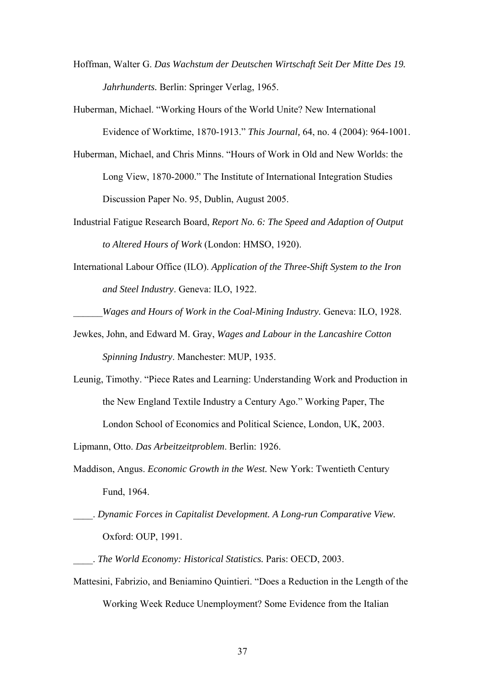- Hoffman, Walter G. *Das Wachstum der Deutschen Wirtschaft Seit Der Mitte Des 19. Jahrhunderts.* Berlin: Springer Verlag, 1965.
- Huberman, Michael. "Working Hours of the World Unite? New International Evidence of Worktime, 1870-1913." *This Journal,* 64, no. 4 (2004): 964-1001.
- Huberman, Michael, and Chris Minns. "Hours of Work in Old and New Worlds: the Long View, 1870-2000." The Institute of International Integration Studies Discussion Paper No. 95, Dublin, August 2005.
- Industrial Fatigue Research Board, *Report No. 6: The Speed and Adaption of Output to Altered Hours of Work* (London: HMSO, 1920).
- International Labour Office (ILO). *Application of the Three-Shift System to the Iron and Steel Industry*. Geneva: ILO, 1922.

\_\_\_\_\_\_*Wages and Hours of Work in the Coal-Mining Industry.* Geneva: ILO, 1928.

- Jewkes, John, and Edward M. Gray, *Wages and Labour in the Lancashire Cotton Spinning Industry*. Manchester: MUP, 1935.
- Leunig, Timothy. "Piece Rates and Learning: Understanding Work and Production in the New England Textile Industry a Century Ago." Working Paper, The London School of Economics and Political Science, London, UK, 2003.

Lipmann, Otto. *Das Arbeitzeitproblem*. Berlin: 1926.

- Maddison, Angus. *Economic Growth in the West.* New York: Twentieth Century Fund, 1964.
- \_\_\_\_. *Dynamic Forces in Capitalist Development. A Long-run Comparative View.*  Oxford: OUP, 1991.
- \_\_\_\_. *The World Economy: Historical Statistics.* Paris: OECD, 2003.
- Mattesini, Fabrizio, and Beniamino Quintieri. "Does a Reduction in the Length of the Working Week Reduce Unemployment? Some Evidence from the Italian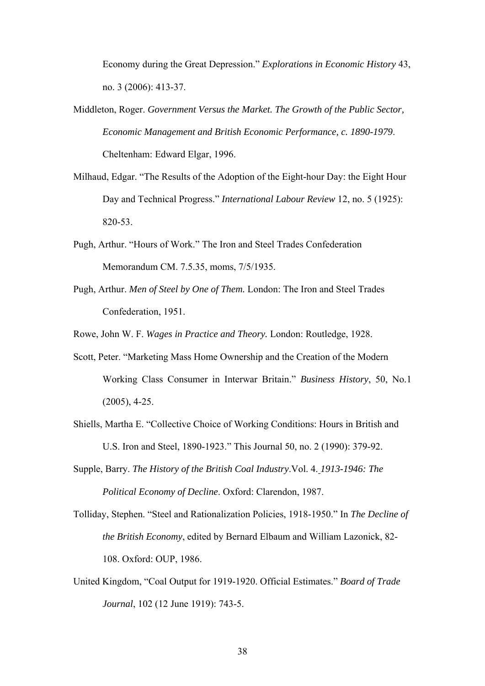Economy during the Great Depression." *Explorations in Economic History* 43, no. 3 (2006): 413-37.

- Middleton, Roger. *Government Versus the Market. The Growth of the Public Sector, Economic Management and British Economic Performance, c. 1890-1979*. Cheltenham: Edward Elgar, 1996.
- Milhaud, Edgar. "The Results of the Adoption of the Eight-hour Day: the Eight Hour Day and Technical Progress." *International Labour Review* 12, no. 5 (1925): 820-53.
- Pugh, Arthur. "Hours of Work." The Iron and Steel Trades Confederation Memorandum CM. 7.5.35, moms, 7/5/1935.
- Pugh, Arthur. *Men of Steel by One of Them.* London: The Iron and Steel Trades Confederation, 1951.

Rowe, John W. F. *Wages in Practice and Theory.* London: Routledge, 1928.

- Scott, Peter. "Marketing Mass Home Ownership and the Creation of the Modern Working Class Consumer in Interwar Britain." *Business History*, 50, No.1 (2005), 4-25.
- Shiells, Martha E. "Collective Choice of Working Conditions: Hours in British and U.S. Iron and Steel, 1890-1923." This Journal 50, no. 2 (1990): 379-92.
- Supple, Barry. *The History of the British Coal Industry*.Vol. 4. *1913-1946: The Political Economy of Decline*. Oxford: Clarendon, 1987.
- Tolliday, Stephen. "Steel and Rationalization Policies, 1918-1950." In *The Decline of the British Economy*, edited by Bernard Elbaum and William Lazonick, 82- 108. Oxford: OUP, 1986.
- United Kingdom, "Coal Output for 1919-1920. Official Estimates." *Board of Trade Journal*, 102 (12 June 1919): 743-5.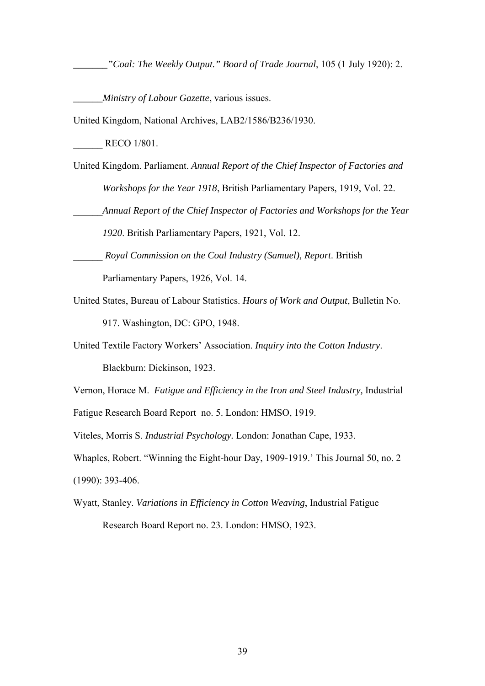*\_\_\_\_\_\_\_"Coal: The Weekly Output." Board of Trade Journal*, 105 (1 July 1920): 2.

*\_\_\_\_\_\_Ministry of Labour Gazette*, various issues.

United Kingdom, National Archives, LAB2/1586/B236/1930.

RECO 1/801.

United Kingdom. Parliament. *Annual Report of the Chief Inspector of Factories and Workshops for the Year 1918*, British Parliamentary Papers, 1919, Vol. 22.

\_\_\_\_\_\_*Annual Report of the Chief Inspector of Factories and Workshops for the Year* 

*1920*. British Parliamentary Papers, 1921, Vol. 12.

- \_\_\_\_\_\_ *Royal Commission on the Coal Industry (Samuel), Report*. British Parliamentary Papers, 1926, Vol. 14.
- United States, Bureau of Labour Statistics. *Hours of Work and Output*, Bulletin No. 917. Washington, DC: GPO, 1948.
- United Textile Factory Workers' Association. *Inquiry into the Cotton Industry*. Blackburn: Dickinson, 1923.

Vernon, Horace M. *Fatigue and Efficiency in the Iron and Steel Industry,* Industrial

Fatigue Research Board Report no. 5. London: HMSO, 1919.

Viteles, Morris S. *Industrial Psychology.* London: Jonathan Cape, 1933.

Whaples, Robert. "Winning the Eight-hour Day, 1909-1919.' This Journal 50, no. 2 (1990): 393-406.

Wyatt, Stanley. *Variations in Efficiency in Cotton Weaving*, Industrial Fatigue Research Board Report no. 23. London: HMSO, 1923.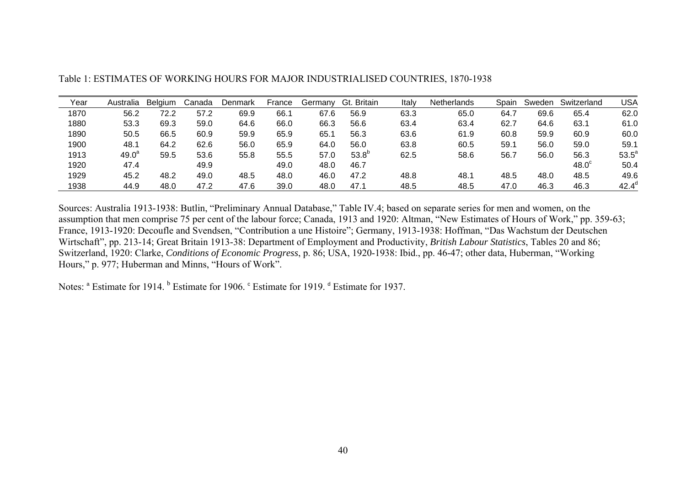| Year | Australia         | <b>Belaium</b> | Canada | Denmark | France | Germanv | Gt. Britain | Italy | <b>Netherlands</b> | Spain | Sweden | Switzerland  | <b>USA</b>     |
|------|-------------------|----------------|--------|---------|--------|---------|-------------|-------|--------------------|-------|--------|--------------|----------------|
| 1870 | 56.2              | 72.2           | 57.2   | 69.9    | 66.1   | 67.6    | 56.9        | 63.3  | 65.0               | 64.7  | 69.6   | 65.4         | 62.0           |
| 1880 | 53.3              | 69.3           | 59.0   | 64.6    | 66.0   | 66.3    | 56.6        | 63.4  | 63.4               | 62.7  | 64.6   | 63.1         | 61.0           |
| 1890 | 50.5              | 66.5           | 60.9   | 59.9    | 65.9   | 65.1    | 56.3        | 63.6  | 61.9               | 60.8  | 59.9   | 60.9         | 60.0           |
| 1900 | 48.1              | 64.2           | 62.6   | 56.0    | 65.9   | 64.0    | 56.0        | 63.8  | 60.5               | 59.1  | 56.0   | 59.0         | 59.1           |
| 1913 | 49.0 <sup>a</sup> | 59.5           | 53.6   | 55.8    | 55.5   | 57.0    | $53.8^{o}$  | 62.5  | 58.6               | 56.7  | 56.0   | 56.3         | $53.5^a$       |
| 1920 | 47.4              |                | 49.9   |         | 49.0   | 48.0    | 46.7        |       |                    |       |        | $48.0^\circ$ | 50.4           |
| 1929 | 45.2              | 48.2           | 49.0   | 48.5    | 48.0   | 46.0    | 47.2        | 48.8  | 48.1               | 48.5  | 48.0   | 48.5         | 49.6           |
| 1938 | 44.9              | 48.0           | 47.2   | 47.6    | 39.0   | 48.0    | 47.1        | 48.5  | 48.5               | 47.0  | 46.3   | 46.3         | $42.4^{\circ}$ |

Table 1: ESTIMATES OF WORKING HOURS FOR MAJOR INDUSTRIALISED COUNTRIES, 1870-1938

Sources: Australia 1913-1938: Butlin, "Preliminary Annual Database," Table IV.4; based on separate series for men and women, on the assumption that men comprise 75 per cent of the labour force; Canada, 1913 and 1920: Altman, "New Estimates of Hours of Work," pp. 359-63; France, 1913-1920: Decoufle and Svendsen, "Contribution a une Histoire"; Germany, 1913-1938: Hoffman, "Das Wachstum der Deutschen Wirtschaft", pp. 213-14; Great Britain 1913-38: Department of Employment and Productivity, *British Labour Statistics*, Tables 20 and 86; Switzerland, 1920: Clarke, *Conditions of Economic Progress*, p. 86; USA, 1920-1938: Ibid., pp. 46-47; other data, Huberman, "Working Hours," p. 977; Huberman and Minns, "Hours of Work".

Notes:  $\alpha$  Estimate for 1914.  $\beta$  Estimate for 1906. C Estimate for 1919.  $\beta$  Estimate for 1937.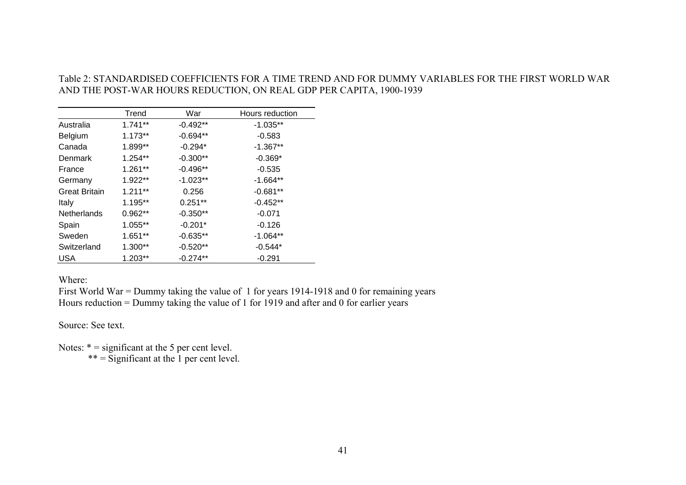# Table 2: STANDARDISED COEFFICIENTS FOR A TIME TREND AND FOR DUMMY VARIABLES FOR THE FIRST WORLD WAR AND THE POST-WAR HOURS REDUCTION, ON REAL GDP PER CAPITA, 1900-1939

|                      | Trend      | War        | Hours reduction |
|----------------------|------------|------------|-----------------|
| Australia            | $1.741**$  | $-0.492**$ | $-1.035**$      |
| Belgium              | $1.173**$  | $-0.694**$ | $-0.583$        |
| Canada               | 1.899**    | $-0.294*$  | $-1.367**$      |
| Denmark              | 1.254**    | $-0.300**$ | $-0.369*$       |
| France               | 1.261**    | $-0.496**$ | $-0.535$        |
| Germany              | 1.922**    | $-1.023**$ | $-1.664**$      |
| <b>Great Britain</b> | $1.211***$ | 0.256      | $-0.681**$      |
| Italy                | 1.195**    | $0.251**$  | $-0.452**$      |
| <b>Netherlands</b>   | $0.962**$  | $-0.350**$ | $-0.071$        |
| Spain                | 1.055**    | $-0.201*$  | $-0.126$        |
| Sweden               | $1.651**$  | $-0.635**$ | $-1.064**$      |
| Switzerland          | 1.300**    | $-0.520**$ | $-0.544*$       |
| <b>USA</b>           | 1.203**    | $-0.274**$ | $-0.291$        |

Where:

First World War = Dummy taking the value of 1 for years 1914-1918 and 0 for remaining years Hours reduction = Dummy taking the value of 1 for 1919 and after and 0 for earlier years

Source: See text.

Notes:  $* =$  significant at the 5 per cent level.  $** =$  Significant at the 1 per cent level.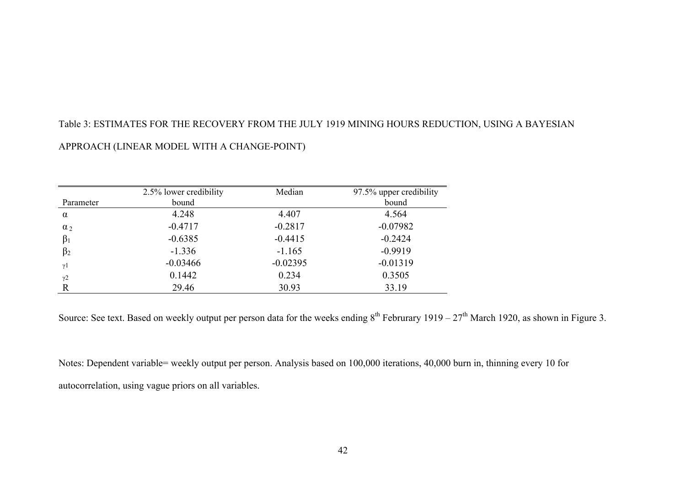# Table 3: ESTIMATES FOR THE RECOVERY FROM THE JULY 1919 MINING HOURS REDUCTION, USING A BAYESIAN

# APPROACH (LINEAR MODEL WITH A CHANGE-POINT)

|                       | 2.5% lower credibility | Median     | 97.5% upper credibility |
|-----------------------|------------------------|------------|-------------------------|
| Parameter             | bound                  |            | bound                   |
| $\alpha$              | 4.248                  | 4.407      | 4.564                   |
| $\alpha_2$            | $-0.4717$              | $-0.2817$  | $-0.07982$              |
| $\beta_1$             | $-0.6385$              | $-0.4415$  | $-0.2424$               |
| $\beta_2$             | $-1.336$               | $-1.165$   | $-0.9919$               |
| $\gamma$ 1            | $-0.03466$             | $-0.02395$ | $-0.01319$              |
| $\gamma$ <sup>2</sup> | 0.1442                 | 0.234      | 0.3505                  |
| R                     | 29.46                  | 30.93      | 33.19                   |

Source: See text. Based on weekly output per person data for the weeks ending  $8^{th}$  Februrary 1919 –  $27^{th}$  March 1920, as shown in Figure 3.

Notes: Dependent variable= weekly output per person. Analysis based on 100,000 iterations, 40,000 burn in, thinning every 10 for autocorrelation, using vague priors on all variables.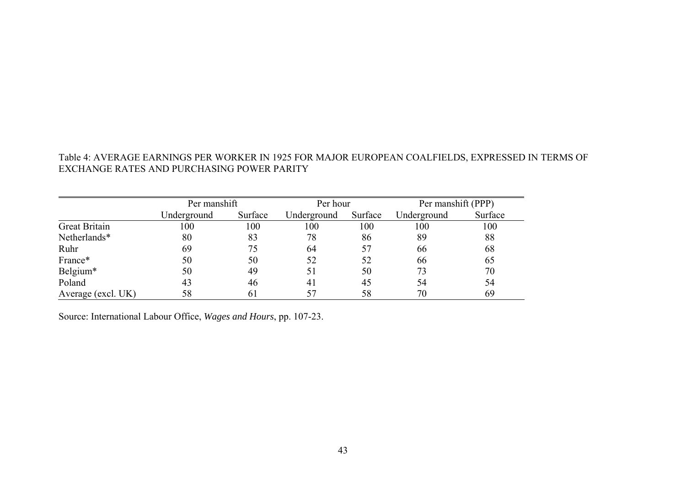# Table 4: AVERAGE EARNINGS PER WORKER IN 1925 FOR MAJOR EUROPEAN COALFIELDS, EXPRESSED IN TERMS OF EXCHANGE RATES AND PURCHASING POWER PARITY

|                      | Per manshift |         | Per hour    |         | Per manshift (PPP) |         |  |
|----------------------|--------------|---------|-------------|---------|--------------------|---------|--|
|                      | Underground  | Surface | Underground | Surface | Underground        | Surface |  |
| <b>Great Britain</b> | 100          | 100     | 100         | 100     | 100                | 100     |  |
| Netherlands*         | 80           | 83      | 78          | 86      | 89                 | 88      |  |
| Ruhr                 | 69           | 75      | 64          | 57      | 66                 | 68      |  |
| France*              | 50           | 50      | 52          | 52      | 66                 | 65      |  |
| Belgium*             | 50           | 49      | 51          | 50      | 73                 | 70      |  |
| Poland               | 43           | 46      | 41          | 45      | 54                 | 54      |  |
| Average (excl. UK)   | 58           | 61      | 57          | 58      | 70                 | 69      |  |

Source: International Labour Office, *Wages and Hours*, pp. 107-23.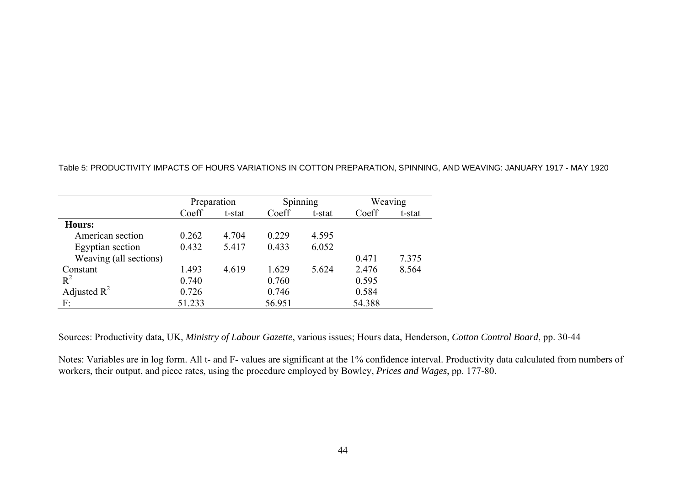|                        | Preparation |        |        | Spinning |        | Weaving |
|------------------------|-------------|--------|--------|----------|--------|---------|
|                        | Coeff       | t-stat | Coeff  | t-stat   | Coeff  | t-stat  |
| Hours:                 |             |        |        |          |        |         |
| American section       | 0.262       | 4.704  | 0.229  | 4.595    |        |         |
| Egyptian section       | 0.432       | 5.417  | 0.433  | 6.052    |        |         |
| Weaving (all sections) |             |        |        |          | 0.471  | 7.375   |
| Constant               | 1.493       | 4.619  | 1.629  | 5.624    | 2.476  | 8.564   |
| $R^2$                  | 0.740       |        | 0.760  |          | 0.595  |         |
| Adjusted $R^2$         | 0.726       |        | 0.746  |          | 0.584  |         |
| F:                     | 51.233      |        | 56.951 |          | 54.388 |         |

Table 5: PRODUCTIVITY IMPACTS OF HOURS VARIATIONS IN COTTON PREPARATION, SPINNING, AND WEAVING: JANUARY 1917 - MAY 1920

Sources: Productivity data, UK, *Ministry of Labour Gazette*, various issues; Hours data, Henderson, *Cotton Control Board*, pp. 30-44

Notes: Variables are in log form. All t- and F- values are significant at the 1% confidence interval. Productivity data calculated from numbers of workers, their output, and piece rates, using the procedure employed by Bowley, *Prices and Wages*, pp. 177-80.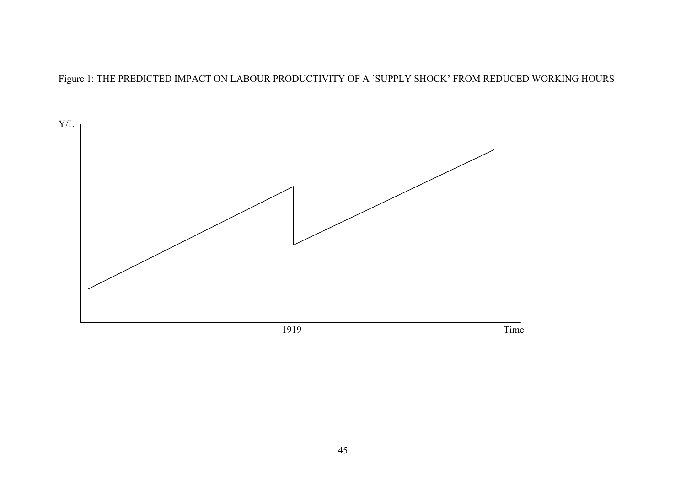Figure 1: THE PREDICTED IMPACT ON LABOUR PRODUCTIVITY OF A `SUPPLY SHOCK' FROM REDUCED WORKING HOURS

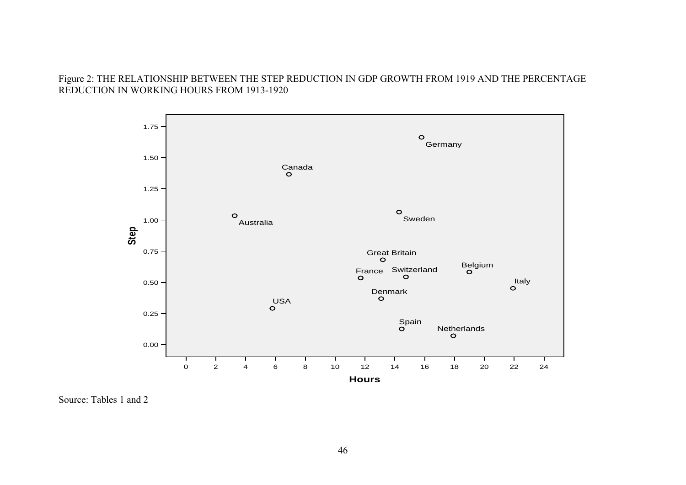# Figure 2: THE RELATIONSHIP BETWEEN THE STEP REDUCTION IN GDP GROWTH FROM 1919 AND THE PERCENTAGE REDUCTION IN WORKING HOURS FROM 1913-1920



Source: Tables 1 and 2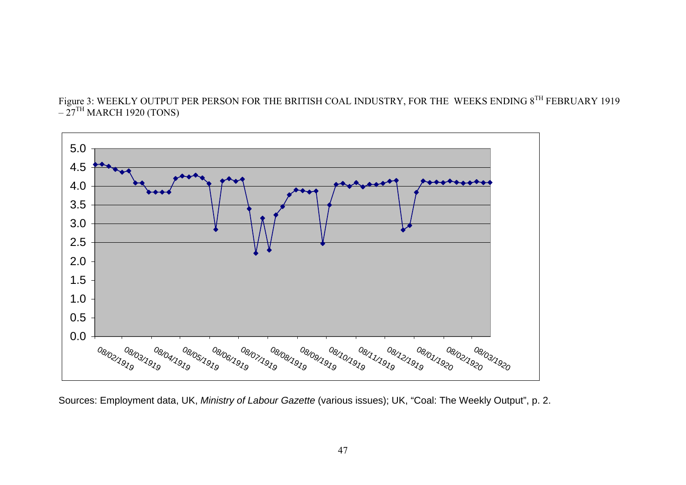



Sources: Employment data, UK, *Ministry of Labour Gazette* (various issues); UK, "Coal: The Weekly Output", p. 2.